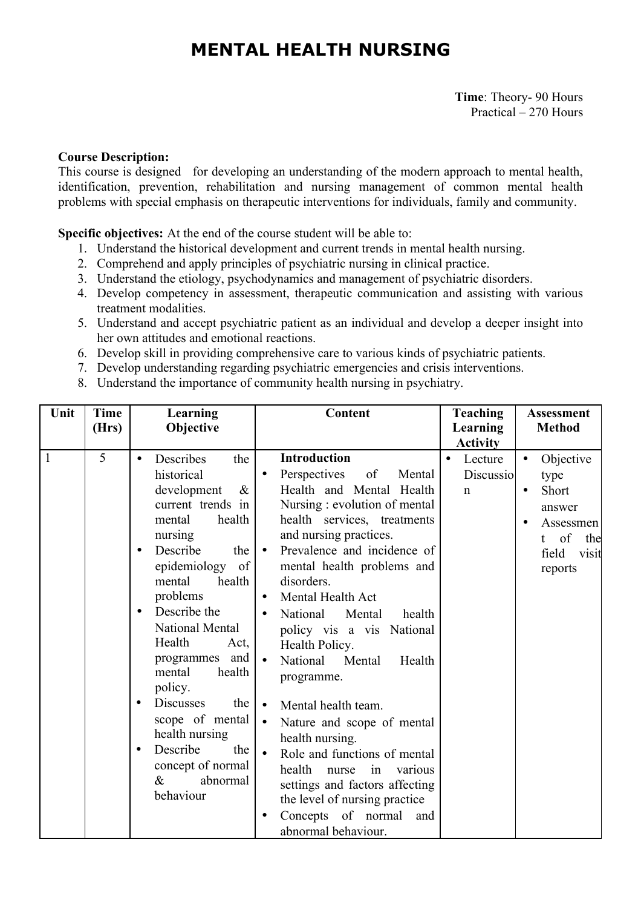# **MENTAL HEALTH NURSING**

**Time**: Theory- 90 Hours Practical – 270 Hours

#### **Course Description:**

This course is designed for developing an understanding of the modern approach to mental health, identification, prevention, rehabilitation and nursing management of common mental health problems with special emphasis on therapeutic interventions for individuals, family and community.

**Specific objectives:** At the end of the course student will be able to:

- 1. Understand the historical development and current trends in mental health nursing.
- 2. Comprehend and apply principles of psychiatric nursing in clinical practice.
- 3. Understand the etiology, psychodynamics and management of psychiatric disorders.
- 4. Develop competency in assessment, therapeutic communication and assisting with various treatment modalities.
- 5. Understand and accept psychiatric patient as an individual and develop a deeper insight into her own attitudes and emotional reactions.
- 6. Develop skill in providing comprehensive care to various kinds of psychiatric patients.
- 7. Develop understanding regarding psychiatric emergencies and crisis interventions.
- 8. Understand the importance of community health nursing in psychiatry.

| Unit | <b>Time</b><br>(Hrs) | Learning<br>Objective                                                                                                                                                                                                                                                                                                                                                                                                                                                                              | Content                                                                                                                                                                                                                                                                                                                                                                                                                                                                                                                                                                                                                                                                                                                      | <b>Teaching</b><br>Learning<br><b>Activity</b> | <b>Assessment</b><br><b>Method</b>                                                                                                                 |
|------|----------------------|----------------------------------------------------------------------------------------------------------------------------------------------------------------------------------------------------------------------------------------------------------------------------------------------------------------------------------------------------------------------------------------------------------------------------------------------------------------------------------------------------|------------------------------------------------------------------------------------------------------------------------------------------------------------------------------------------------------------------------------------------------------------------------------------------------------------------------------------------------------------------------------------------------------------------------------------------------------------------------------------------------------------------------------------------------------------------------------------------------------------------------------------------------------------------------------------------------------------------------------|------------------------------------------------|----------------------------------------------------------------------------------------------------------------------------------------------------|
| 1    | 5                    | Describes<br>the<br>$\bullet$<br>historical<br>$\&$<br>development<br>current trends in<br>health<br>mental<br>nursing<br>Describe<br>the<br>$\bullet$<br>epidemiology<br>of<br>health<br>mental<br>problems<br>Describe the<br>$\bullet$<br>National Mental<br>Health<br>Act,<br>programmes and<br>mental<br>health<br>policy.<br><b>Discusses</b><br>the<br>$\bullet$<br>scope of mental<br>health nursing<br>Describe<br>the<br>$\bullet$<br>concept of normal<br>$\&$<br>abnormal<br>behaviour | <b>Introduction</b><br>Perspectives<br>of<br>Mental<br>$\bullet$<br>Health and Mental Health<br>Nursing: evolution of mental<br>health services, treatments<br>and nursing practices.<br>Prevalence and incidence of<br>$\bullet$<br>mental health problems and<br>disorders.<br>Mental Health Act<br>$\bullet$<br>National<br>Mental<br>health<br>policy vis a vis National<br>Health Policy.<br>National<br>Mental<br>Health<br>programme.<br>Mental health team.<br>$\bullet$<br>Nature and scope of mental<br>health nursing.<br>Role and functions of mental<br>health<br>nurse<br>in<br>various<br>settings and factors affecting<br>the level of nursing practice<br>Concepts of normal<br>and<br>abnormal behaviour. | Lecture<br>Discussio<br>$\mathbf n$            | Objective<br>$\bullet$<br>type<br>Short<br>$\bullet$<br>answer<br>Assessmen<br>$\bullet$<br>of<br>the<br>$^{\dagger}$<br>field<br>visit<br>reports |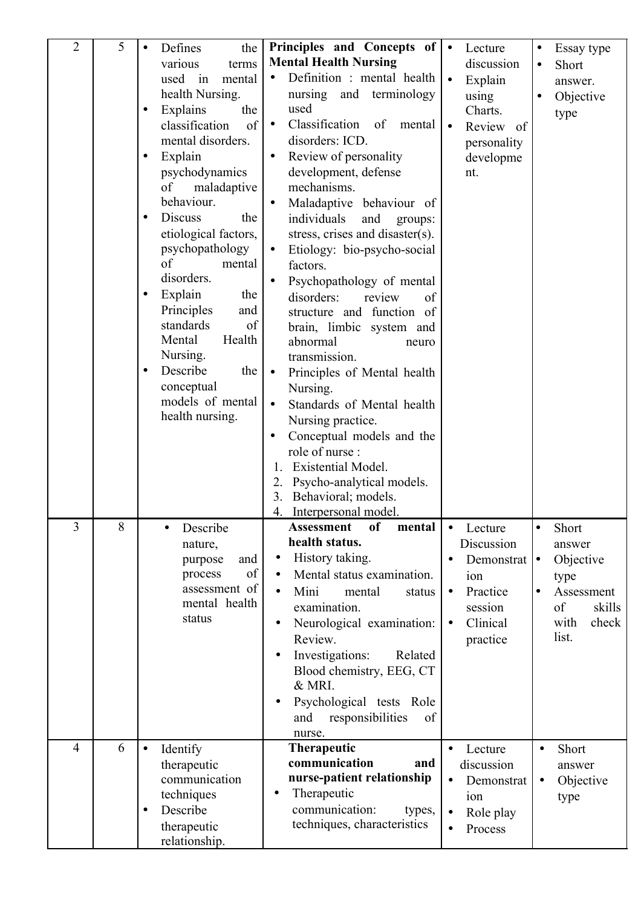| $\overline{2}$ | 5 | Defines<br>the<br>$\bullet$<br>various<br>terms<br>used<br>mental<br>1n<br>health Nursing.<br>Explains<br>the<br>$\bullet$<br>classification<br>of<br>mental disorders.<br>Explain<br>$\bullet$<br>psychodynamics<br>maladaptive<br>of<br>behaviour.<br><b>Discuss</b><br>the<br>$\bullet$<br>etiological factors,<br>psychopathology<br>of<br>mental<br>disorders.<br>Explain<br>the<br>$\bullet$<br>Principles<br>and<br>standards<br>of<br>Health<br>Mental<br>Nursing.<br>Describe<br>the<br>$\bullet$<br>conceptual<br>models of mental<br>health nursing. | Principles and Concepts of<br><b>Mental Health Nursing</b><br>Definition : mental health<br>nursing and terminology<br>used<br>Classification<br>of<br>mental<br>$\bullet$<br>disorders: ICD.<br>Review of personality<br>development, defense<br>mechanisms.<br>Maladaptive behaviour of<br>individuals<br>and<br>groups:<br>stress, crises and disaster(s).<br>Etiology: bio-psycho-social<br>factors.<br>Psychopathology of mental<br>disorders:<br>review<br>of<br>structure and function of<br>brain, limbic system and<br>abnormal<br>neuro<br>transmission.<br>Principles of Mental health<br>$\bullet$<br>Nursing.<br>Standards of Mental health<br>$\bullet$<br>Nursing practice.<br>Conceptual models and the<br>$\bullet$<br>role of nurse:<br>Existential Model.<br>Psycho-analytical models.<br>2.<br>3.<br>Behavioral; models. | Lecture<br>$\bullet$<br>discussion<br>Explain<br>$\bullet$<br>using<br>Charts.<br>Review of<br>$\bullet$<br>personality<br>developme<br>nt.  | Essay type<br>$\bullet$<br>Short<br>$\bullet$<br>answer.<br>Objective<br>$\bullet$<br>type                     |
|----------------|---|-----------------------------------------------------------------------------------------------------------------------------------------------------------------------------------------------------------------------------------------------------------------------------------------------------------------------------------------------------------------------------------------------------------------------------------------------------------------------------------------------------------------------------------------------------------------|----------------------------------------------------------------------------------------------------------------------------------------------------------------------------------------------------------------------------------------------------------------------------------------------------------------------------------------------------------------------------------------------------------------------------------------------------------------------------------------------------------------------------------------------------------------------------------------------------------------------------------------------------------------------------------------------------------------------------------------------------------------------------------------------------------------------------------------------|----------------------------------------------------------------------------------------------------------------------------------------------|----------------------------------------------------------------------------------------------------------------|
| 3              | 8 | Describe<br>nature,<br>purpose<br>and<br>of<br>process<br>assessment of<br>mental health<br>status                                                                                                                                                                                                                                                                                                                                                                                                                                                              | Interpersonal model.<br>4.<br><b>Assessment</b><br>of<br>mental  <br>health status.<br>History taking.<br>$\bullet$<br>Mental status examination.<br>$\bullet$<br>Mini<br>mental<br>$\bullet$<br>status<br>examination.<br>Neurological examination:<br>$\bullet$<br>Review.<br>Investigations:<br>Related<br>$\bullet$<br>Blood chemistry, EEG, CT<br>& MRI.<br>Psychological tests Role<br>$\bullet$<br>responsibilities<br>and<br>of<br>nurse.                                                                                                                                                                                                                                                                                                                                                                                            | Lecture<br>$\bullet$<br>Discussion<br>Demonstrat $  \bullet$<br>ion<br>Practice<br>$\bullet$<br>session<br>Clinical<br>$\bullet$<br>practice | Short<br>٠<br>answer<br>Objective<br>type<br>Assessment<br>$\bullet$<br>of<br>skills<br>check<br>with<br>list. |
| $\overline{4}$ | 6 | Identify<br>$\bullet$<br>therapeutic<br>communication<br>techniques<br>Describe<br>$\bullet$<br>therapeutic<br>relationship.                                                                                                                                                                                                                                                                                                                                                                                                                                    | <b>Therapeutic</b><br>communication<br>and<br>nurse-patient relationship<br>Therapeutic<br>$\bullet$<br>communication:<br>types,<br>techniques, characteristics                                                                                                                                                                                                                                                                                                                                                                                                                                                                                                                                                                                                                                                                              | Lecture<br>$\bullet$<br>discussion<br>Demonstrat<br>$\bullet$<br>ion<br>Role play<br>$\bullet$<br>Process<br>$\bullet$                       | Short<br>$\bullet$<br>answer<br>Objective<br>$\bullet$<br>type                                                 |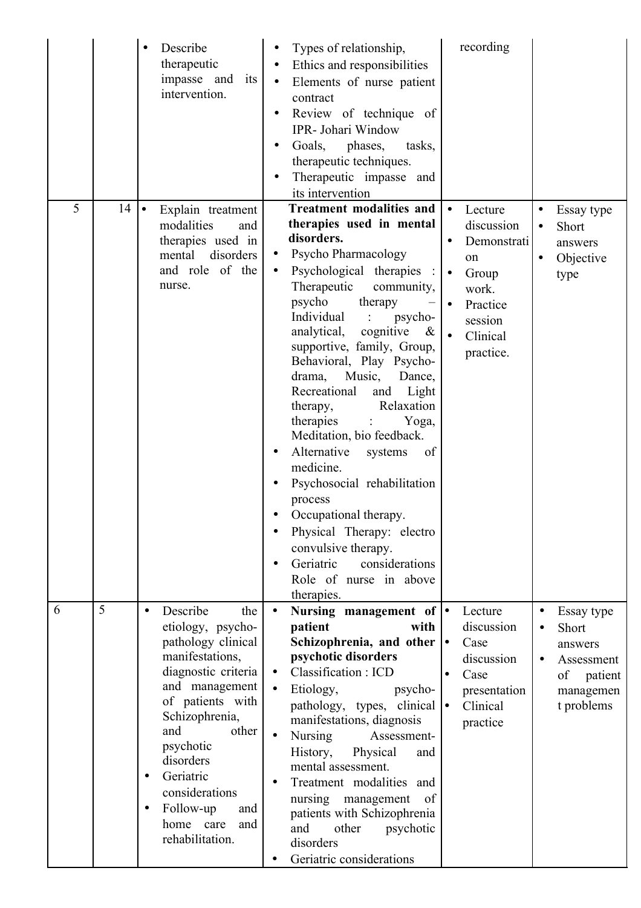|   |    | Describe<br>$\bullet$<br>therapeutic<br>impasse and its<br>intervention.                                                                                                                                                                                                                                                                | Types of relationship,<br>$\bullet$<br>Ethics and responsibilities<br>$\bullet$<br>Elements of nurse patient<br>$\bullet$<br>contract<br>Review of technique of<br>$\bullet$<br>IPR- Johari Window<br>Goals, phases,<br>tasks,<br>$\bullet$<br>therapeutic techniques.<br>Therapeutic impasse and<br>its intervention                                                                                                                                                                                                                                                                                                                                                                                                          | recording                                                                                                                                                                     |                                                                                          |
|---|----|-----------------------------------------------------------------------------------------------------------------------------------------------------------------------------------------------------------------------------------------------------------------------------------------------------------------------------------------|--------------------------------------------------------------------------------------------------------------------------------------------------------------------------------------------------------------------------------------------------------------------------------------------------------------------------------------------------------------------------------------------------------------------------------------------------------------------------------------------------------------------------------------------------------------------------------------------------------------------------------------------------------------------------------------------------------------------------------|-------------------------------------------------------------------------------------------------------------------------------------------------------------------------------|------------------------------------------------------------------------------------------|
| 5 | 14 | Explain treatment<br>l.<br>modalities<br>and<br>therapies used in<br>disorders<br>mental<br>and role of the<br>nurse.                                                                                                                                                                                                                   | <b>Treatment modalities and</b><br>therapies used in mental<br>disorders.<br>Psycho Pharmacology<br>Psychological therapies<br>$\bullet$<br>Therapeutic<br>community,<br>psycho<br>therapy<br>Individual<br>psycho-<br>$\sim$ 1.<br>analytical, cognitive<br>$\&$<br>supportive, family, Group,<br>Behavioral, Play Psycho-<br>drama,<br>Music,<br>Dance,<br>Light<br>Recreational<br>and<br>Relaxation<br>therapy,<br>therapies<br>Yoga,<br>Meditation, bio feedback.<br>Alternative<br>of<br>systems<br>medicine.<br>Psychosocial rehabilitation<br>process<br>Occupational therapy.<br>Physical Therapy: electro<br>convulsive therapy.<br>Geriatric<br>considerations<br>$\bullet$<br>Role of nurse in above<br>therapies. | Lecture<br>$\bullet$<br>discussion<br>Demonstrati<br>$\bullet$<br>on<br>Group<br>$\bullet$<br>work.<br>Practice<br>$\bullet$<br>session<br>Clinical<br>$\bullet$<br>practice. | Essay type<br>Short<br>$\bullet$<br>answers<br>Objective<br>type                         |
| 6 | 5  | Describe<br>the<br>$\bullet$<br>etiology, psycho-<br>pathology clinical<br>manifestations,<br>diagnostic criteria<br>and management<br>of patients with<br>Schizophrenia,<br>and<br>other<br>psychotic<br>disorders<br>Geriatric<br>$\bullet$<br>considerations<br>Follow-up<br>and<br>$\bullet$<br>home care<br>and<br>rehabilitation. | Nursing management of $\bullet$<br>$\bullet$<br>patient<br>with<br>Schizophrenia, and other $\cdot$<br>psychotic disorders<br>Classification: ICD<br>$\bullet$<br>$\bullet$<br>Etiology,<br>psycho-<br>pathology, types, clinical $\bullet$<br>manifestations, diagnosis<br><b>Nursing</b><br>Assessment-<br>History,<br>Physical<br>and<br>mental assessment.<br>Treatment modalities and<br>nursing management<br>of<br>patients with Schizophrenia<br>and<br>other<br>psychotic<br>disorders<br>Geriatric considerations                                                                                                                                                                                                    | Lecture<br>discussion<br>Case<br>discussion<br>Case<br>presentation<br>Clinical<br>practice                                                                                   | Essay type<br>Short<br>answers<br>Assessment<br>of<br>patient<br>managemen<br>t problems |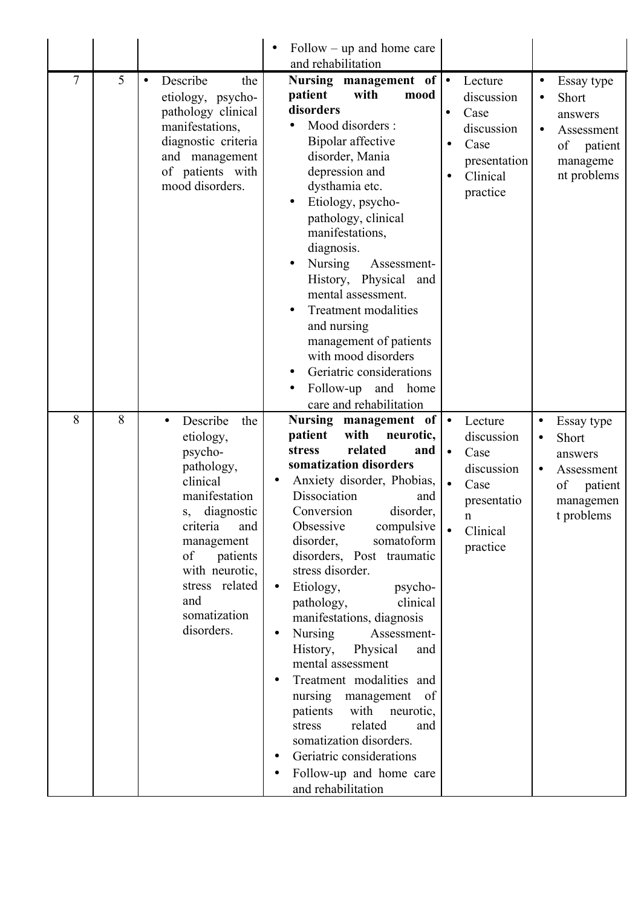|   |   |                                                                                                                                                                                                                                                 | $Follow - up$ and home care<br>and rehabilitation                                                                                                                                                                                                                                                                                                                                                                                                                                                                                                                                                                                                                                                                                         |                                                                                                                                                  |                                                                                                                                 |
|---|---|-------------------------------------------------------------------------------------------------------------------------------------------------------------------------------------------------------------------------------------------------|-------------------------------------------------------------------------------------------------------------------------------------------------------------------------------------------------------------------------------------------------------------------------------------------------------------------------------------------------------------------------------------------------------------------------------------------------------------------------------------------------------------------------------------------------------------------------------------------------------------------------------------------------------------------------------------------------------------------------------------------|--------------------------------------------------------------------------------------------------------------------------------------------------|---------------------------------------------------------------------------------------------------------------------------------|
| 7 | 5 | Describe<br>the<br>$\bullet$<br>etiology, psycho-<br>pathology clinical<br>manifestations,<br>diagnostic criteria<br>and management<br>of patients with<br>mood disorders.                                                                      | Nursing management of $\bullet$<br>patient<br>with<br>mood<br>disorders<br>Mood disorders :<br>Bipolar affective<br>disorder, Mania<br>depression and<br>dysthamia etc.<br>Etiology, psycho-<br>pathology, clinical<br>manifestations,<br>diagnosis.<br><b>Nursing</b><br>Assessment-<br>History, Physical<br>and<br>mental assessment.<br>Treatment modalities<br>and nursing<br>management of patients<br>with mood disorders<br>Geriatric considerations<br>$\bullet$<br>Follow-up<br>and<br>home<br>care and rehabilitation                                                                                                                                                                                                           | Lecture<br>discussion<br>Case<br>$\bullet$<br>discussion<br>Case<br>$\bullet$<br>presentation<br>Clinical<br>$\bullet$<br>practice               | Essay type<br>٠<br>Short<br>answers<br>Assessment<br>$\bullet$<br>of patient<br>manageme<br>nt problems                         |
| 8 | 8 | Describe<br>the<br>$\bullet$<br>etiology,<br>psycho-<br>pathology,<br>clinical<br>manifestation<br>diagnostic<br>S,<br>criteria<br>and<br>management<br>patients<br>of<br>with neurotic,<br>stress related<br>and<br>somatization<br>disorders. | Nursing management of<br>with<br>patient<br>neurotic,<br>related<br><b>stress</b><br>and<br>somatization disorders<br>Anxiety disorder, Phobias,<br>Dissociation<br>and<br>disorder,<br>Conversion<br>Obsessive<br>compulsive<br>disorder,<br>somatoform<br>disorders, Post traumatic<br>stress disorder.<br>Etiology,<br>psycho-<br>$\bullet$<br>pathology,<br>clinical<br>manifestations, diagnosis<br><b>Nursing</b><br>Assessment-<br>$\bullet$<br>History,<br>Physical<br>and<br>mental assessment<br>Treatment modalities and<br>nursing<br>- of<br>management<br>patients<br>with<br>neurotic,<br>related<br>stress<br>and<br>somatization disorders.<br>Geriatric considerations<br>Follow-up and home care<br>and rehabilitation | $\bullet$<br>Lecture<br>discussion<br>Case<br>$\bullet$<br>discussion<br>Case<br>$\bullet$<br>presentatio<br>$\mathbf n$<br>Clinical<br>practice | Essay type<br>$\bullet$<br>Short<br>$\bullet$<br>answers<br>Assessment<br>$\bullet$<br>of<br>patient<br>managemen<br>t problems |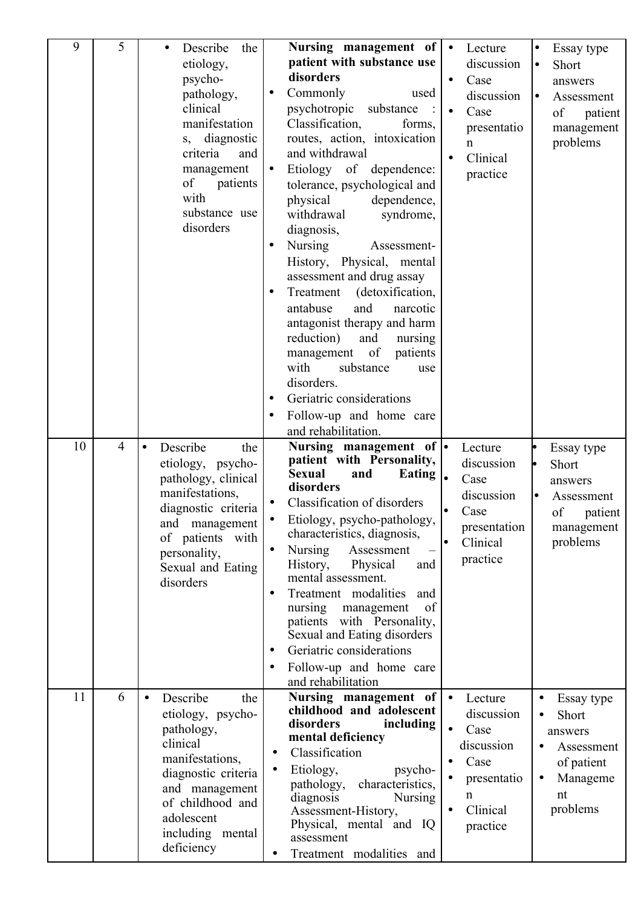| 9  | 5              | Describe<br>the<br>etiology,<br>psycho-<br>pathology,<br>clinical<br>manifestation<br>diagnostic<br>$S_{\gamma}$<br>criteria<br>and<br>management<br>of<br>patients<br>with<br>substance use<br>disorders  | Nursing management of<br>$\bullet$<br>Lecture<br>patient with substance use<br>discussion<br>disorders<br>Case<br>$\bullet$<br>Commonly<br>used<br>$\bullet$<br>discussion<br>psychotropic<br>substance<br>Case<br>$\bullet$<br>Classification,<br>forms,<br>presentatio<br>routes, action, intoxication<br>$\mathbf n$<br>and withdrawal<br>Clinical<br>$\bullet$<br>Etiology of<br>dependence:<br>$\bullet$<br>practice<br>tolerance, psychological and<br>physical<br>dependence,<br>withdrawal<br>syndrome,<br>diagnosis,<br><b>Nursing</b><br>Assessment-<br>$\bullet$<br>History, Physical, mental<br>assessment and drug assay<br>Treatment<br>(detoxification,<br>$\bullet$<br>and<br>antabuse<br>narcotic<br>antagonist therapy and harm<br>reduction)<br>and<br>nursing<br>management of<br>patients<br>with<br>substance<br>use<br>disorders.<br>Geriatric considerations<br>Follow-up and home care<br>$\bullet$<br>and rehabilitation. | Essay type<br>$\bullet$<br>Short<br>lo<br>answers<br>Assessment<br>lo<br>of<br>patient<br>management<br>problems |
|----|----------------|------------------------------------------------------------------------------------------------------------------------------------------------------------------------------------------------------------|-----------------------------------------------------------------------------------------------------------------------------------------------------------------------------------------------------------------------------------------------------------------------------------------------------------------------------------------------------------------------------------------------------------------------------------------------------------------------------------------------------------------------------------------------------------------------------------------------------------------------------------------------------------------------------------------------------------------------------------------------------------------------------------------------------------------------------------------------------------------------------------------------------------------------------------------------------|------------------------------------------------------------------------------------------------------------------|
| 10 | $\overline{4}$ | Describe<br>$\bullet$<br>the<br>etiology, psycho-<br>pathology, clinical<br>manifestations,<br>diagnostic criteria<br>and management<br>of patients with<br>personality,<br>Sexual and Eating<br>disorders | Nursing management of $\vert \bullet \vert$<br>Lecture<br>patient with Personality,<br>discussion<br><b>Sexual</b><br>Eating $\vert$<br>and<br>Case<br>disorders<br>discussion<br><b>Classification of disorders</b><br>Case<br>Etiology, psycho-pathology,<br>presentation<br>characteristics, diagnosis,<br>Clinical<br><b>Nursing</b><br>Assessment<br>$\bullet$<br>practice<br>History,<br>Physical<br>and<br>mental assessment.<br>Treatment modalities<br>and<br>nursing<br>of<br>management<br>patients with Personality,<br>Sexual and Eating disorders<br>Geriatric considerations<br>$\bullet$<br>Follow-up and home care<br>and rehabilitation                                                                                                                                                                                                                                                                                           | Essay type<br>Short<br>answers<br>Assessment<br>of<br>patient<br>management<br>problems                          |
| 11 | 6              | Describe<br>the<br>etiology, psycho-<br>pathology,<br>clinical<br>manifestations,<br>diagnostic criteria<br>and management<br>of childhood and<br>adolescent<br>including mental<br>deficiency             | Nursing management of<br>Lecture<br>$\bullet$<br>childhood and adolescent<br>discussion<br>disorders<br>including<br>Case<br>mental deficiency<br>discussion<br>Classification<br>٠<br>Case<br>$\bullet$<br>Etiology,<br>psycho-<br>$\bullet$<br>presentatio<br>characteristics,<br>pathology,<br>n<br>diagnosis<br><b>Nursing</b><br>Clinical<br>Assessment-History,<br>$\bullet$<br>Physical, mental and IQ<br>practice<br>assessment<br>Treatment modalities and<br>$\bullet$                                                                                                                                                                                                                                                                                                                                                                                                                                                                    | Essay type<br>Short<br>answers<br>Assessment<br>of patient<br>Manageme<br>$\bullet$<br>nt<br>problems            |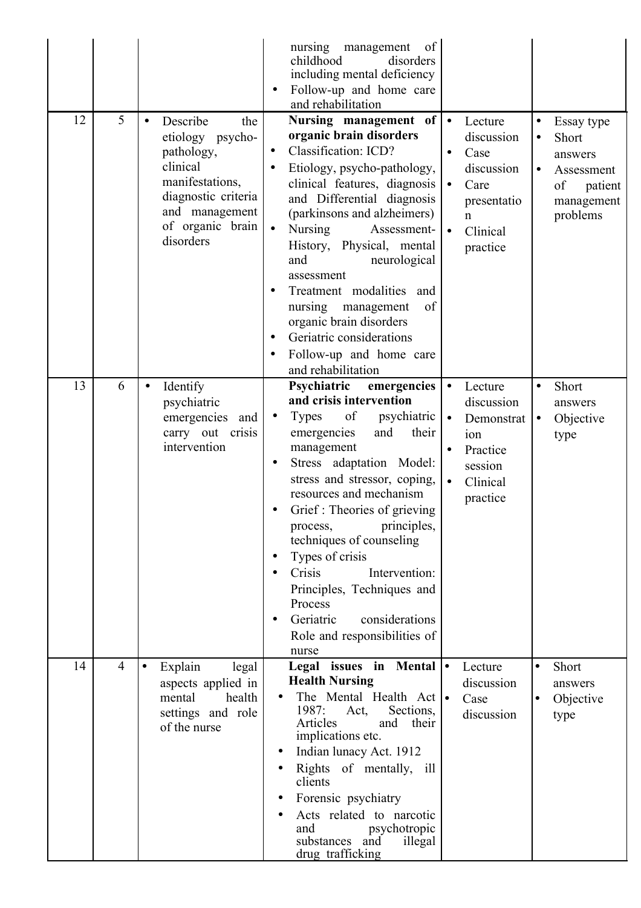| 12 | 5              | Describe<br>the<br>etiology psycho-<br>pathology,<br>clinical<br>manifestations,<br>diagnostic criteria<br>and management<br>of organic brain<br>disorders | nursing management<br>of<br>childhood<br>disorders<br>including mental deficiency<br>Follow-up and home care<br>and rehabilitation<br>Nursing management of<br>organic brain disorders<br>Classification: ICD?<br>$\bullet$<br>Etiology, psycho-pathology,<br>clinical features, diagnosis<br>and Differential diagnosis<br>(parkinsons and alzheimers)<br>$\bullet$<br><b>Nursing</b><br>Assessment-<br>History, Physical, mental<br>and<br>neurological<br>assessment<br>Treatment modalities and<br>nursing<br>of<br>management<br>organic brain disorders<br>Geriatric considerations<br>$\bullet$<br>Follow-up and home care<br>and rehabilitation | Lecture<br>discussion<br>Case<br>$\bullet$<br>discussion<br>Care<br>presentatio<br>$\mathbf n$<br>Clinical<br>practice | Essay type<br>$\bullet$<br>Short<br>answers<br>Assessment<br>$\bullet$<br>of<br>patient<br>management<br>problems |
|----|----------------|------------------------------------------------------------------------------------------------------------------------------------------------------------|---------------------------------------------------------------------------------------------------------------------------------------------------------------------------------------------------------------------------------------------------------------------------------------------------------------------------------------------------------------------------------------------------------------------------------------------------------------------------------------------------------------------------------------------------------------------------------------------------------------------------------------------------------|------------------------------------------------------------------------------------------------------------------------|-------------------------------------------------------------------------------------------------------------------|
| 13 | 6              | Identify<br>$\bullet$<br>psychiatric<br>emergencies<br>and<br>carry out crisis<br>intervention                                                             | Psychiatric<br>emergencies<br>and crisis intervention<br>of<br>psychiatric<br><b>Types</b><br>$\bullet$<br>their<br>and<br>emergencies<br>management<br><b>Stress</b><br>adaptation Model:<br>stress and stressor, coping,<br>resources and mechanism<br>Grief: Theories of grieving<br>principles,<br>process,<br>techniques of counseling<br>Types of crisis<br>Crisis<br>Intervention:<br>Principles, Techniques and<br>Process<br>Geriatric<br>considerations<br>Role and responsibilities of<br>nurse                                                                                                                                              | Lecture<br>discussion<br>Demonstrat<br>$\bullet$<br>ion<br>Practice<br>session<br>Clinical<br>$\bullet$<br>practice    | Short<br>answers<br>Objective<br>$\bullet$<br>type                                                                |
| 14 | $\overline{4}$ | Explain<br>$\bullet$<br>legal<br>aspects applied in<br>mental<br>health<br>settings and role<br>of the nurse                                               | Legal issues in Mental .<br><b>Health Nursing</b><br>The Mental Health Act $\vert$<br>1987:<br>Sections,<br>Act,<br>Articles<br>their<br>and<br>implications etc.<br>Indian lunacy Act. 1912<br>Rights of mentally, ill<br>clients<br>Forensic psychiatry<br>Acts related to narcotic<br>psychotropic<br>and<br>substances and<br>illegal<br>drug trafficking                                                                                                                                                                                                                                                                                           | Lecture<br>discussion<br>Case<br>discussion                                                                            | Short<br>$\bullet$<br>answers<br>Objective<br>$\bullet$<br>type                                                   |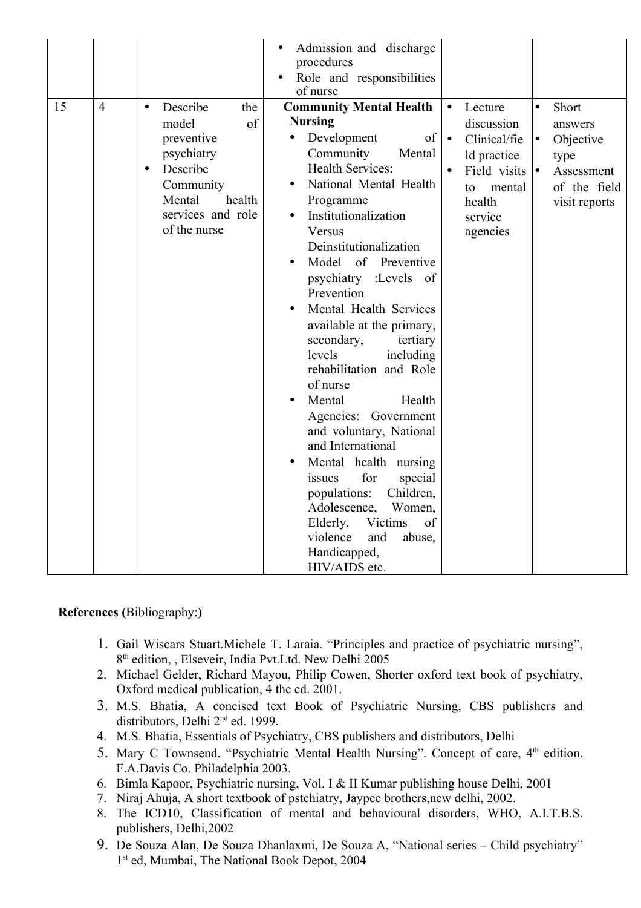|    |                |                                                                                                                                                                        | Admission and discharge<br>procedures<br>Role and responsibilities<br>of nurse                                                                                                                                                                                                                                                                                                                                                                                                                                                                                                                                                                                                                                                                                                                    |                                                                                                                                                                        |                                                                                                         |
|----|----------------|------------------------------------------------------------------------------------------------------------------------------------------------------------------------|---------------------------------------------------------------------------------------------------------------------------------------------------------------------------------------------------------------------------------------------------------------------------------------------------------------------------------------------------------------------------------------------------------------------------------------------------------------------------------------------------------------------------------------------------------------------------------------------------------------------------------------------------------------------------------------------------------------------------------------------------------------------------------------------------|------------------------------------------------------------------------------------------------------------------------------------------------------------------------|---------------------------------------------------------------------------------------------------------|
| 15 | $\overline{4}$ | Describe<br>the<br>$\bullet$<br>of<br>model<br>preventive<br>psychiatry<br>Describe<br>$\bullet$<br>Community<br>Mental<br>health<br>services and role<br>of the nurse | <b>Community Mental Health</b><br><b>Nursing</b><br>Development<br>of<br>Community<br>Mental<br><b>Health Services:</b><br>National Mental Health<br>$\bullet$<br>Programme<br>Institutionalization<br>Versus<br>Deinstitutionalization<br>Model<br>of Preventive<br>$\bullet$<br>psychiatry :Levels of<br>Prevention<br>Mental Health Services<br>available at the primary,<br>secondary,<br>tertiary<br>levels<br>including<br>rehabilitation and Role<br>of nurse<br>Mental<br>Health<br>$\bullet$<br>Agencies: Government<br>and voluntary, National<br>and International<br>Mental health nursing<br>$\bullet$<br>for<br>special<br>issues<br>Children,<br>populations:<br>Adolescence,<br>Women,<br>Victims<br>of<br>Elderly,<br>violence<br>and<br>abuse,<br>Handicapped,<br>HIV/AIDS etc. | Lecture<br>$\bullet$<br>discussion<br>Clinical/fie<br>$\bullet$<br>ld practice<br>Field visits $\bullet$<br>$\bullet$<br>mental<br>to<br>health<br>service<br>agencies | $\bullet$<br>Short<br>answers<br>Objective<br>l.<br>type<br>Assessment<br>of the field<br>visit reports |

#### **References (**Bibliography:**)**

- 1. Gail Wiscars Stuart.Michele T. Laraia. "Principles and practice of psychiatric nursing", 8 th edition, , Elseveir, India Pvt.Ltd. New Delhi 2005
- 2. Michael Gelder, Richard Mayou, Philip Cowen, Shorter oxford text book of psychiatry, Oxford medical publication, 4 the ed. 2001.
- 3. M.S. Bhatia, A concised text Book of Psychiatric Nursing, CBS publishers and distributors, Delhi 2<sup>nd</sup> ed. 1999.
- 4. M.S. Bhatia, Essentials of Psychiatry, CBS publishers and distributors, Delhi
- 5. Mary C Townsend. "Psychiatric Mental Health Nursing". Concept of care, 4<sup>th</sup> edition. F.A.Davis Co. Philadelphia 2003.
- 6. Bimla Kapoor, Psychiatric nursing, Vol. I & II Kumar publishing house Delhi, 2001
- 7. Niraj Ahuja, A short textbook of pstchiatry, Jaypee brothers,new delhi, 2002.
- 8. The ICD10, Classification of mental and behavioural disorders, WHO, A.I.T.B.S. publishers, Delhi,2002
- 9. De Souza Alan, De Souza Dhanlaxmi, De Souza A, "National series Child psychiatry" 1 st ed, Mumbai, The National Book Depot, 2004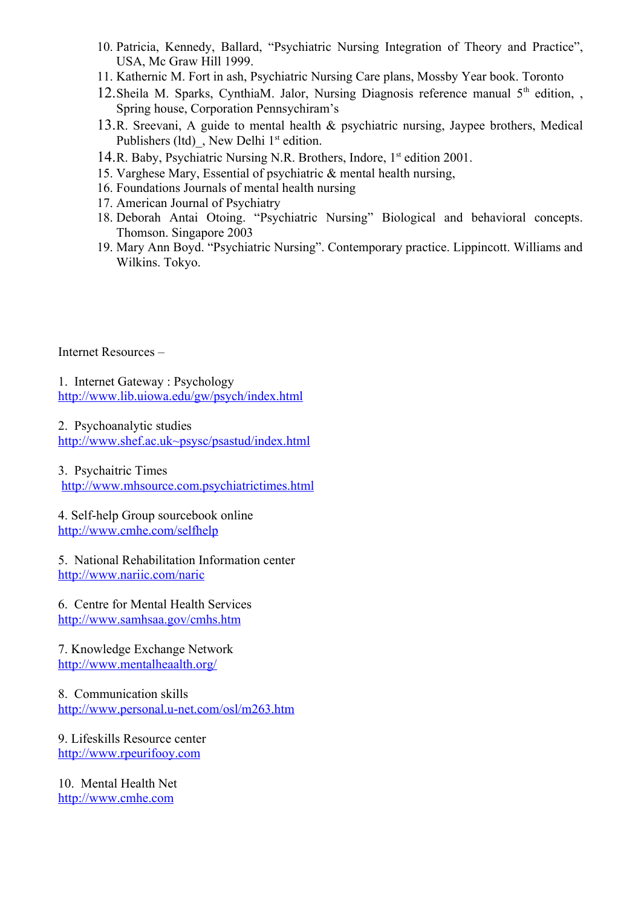- 10. Patricia, Kennedy, Ballard, "Psychiatric Nursing Integration of Theory and Practice", USA, Mc Graw Hill 1999.
- 11. Kathernic M. Fort in ash, Psychiatric Nursing Care plans, Mossby Year book. Toronto
- 12. Sheila M. Sparks, CynthiaM. Jalor, Nursing Diagnosis reference manual 5<sup>th</sup> edition, , Spring house, Corporation Pennsychiram's
- 13.R. Sreevani, A guide to mental health & psychiatric nursing, Jaypee brothers, Medical Publishers  $(ltd)$ , New Delhi  $1<sup>st</sup>$  edition.
- 14.R. Baby, Psychiatric Nursing N.R. Brothers, Indore, 1st edition 2001.
- 15. Varghese Mary, Essential of psychiatric & mental health nursing,
- 16. Foundations Journals of mental health nursing
- 17. American Journal of Psychiatry
- 18. Deborah Antai Otoing. "Psychiatric Nursing" Biological and behavioral concepts. Thomson. Singapore 2003
- 19. Mary Ann Boyd. "Psychiatric Nursing". Contemporary practice. Lippincott. Williams and Wilkins. Tokyo.

Internet Resources –

1. Internet Gateway : Psychology <http://www.lib.uiowa.edu/gw/psych/index.html>

2. Psychoanalytic studies

http://www.shef.ac.uk~psysc/psastud/index.html

3. Psychaitric Times [http://www.mhsource.com.psychiatrictimes.html](http://www.mhsource.com.psychiatrictimes.html/)

4. Self-help Group sourcebook online <http://www.cmhe.com/selfhelp>

5. National Rehabilitation Information center <http://www.nariic.com/naric>

6. Centre for Mental Health Services <http://www.samhsaa.gov/cmhs.htm>

7. Knowledge Exchange Network <http://www.mentalheaalth.org/>

8. Communication skills <http://www.personal.u-net.com/osl/m263.htm>

9. Lifeskills Resource center [http://www.rpeurifooy.com](http://www.rpeurifooy.com/)

10. Mental Health Net [http://www.cmhe.com](http://www.cmhe.com/)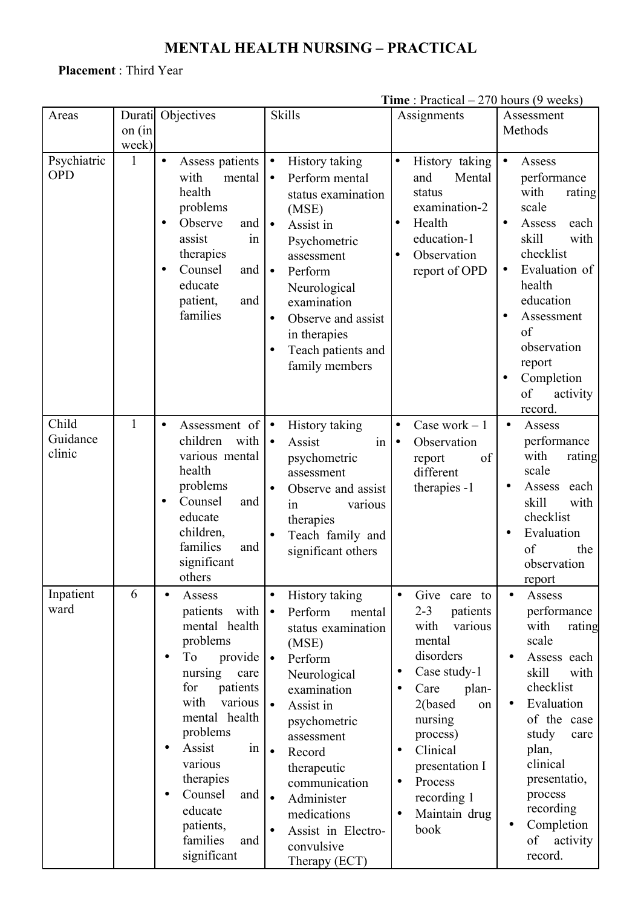# **MENTAL HEALTH NURSING – PRACTICAL**

# **Placement** : Third Year

|                             |                  |                                                                                                                                                                                                                                                                                                                                                   |                                                                                                                                                                                                                                                                                                                                                                   | <b>THILE</b> . Tractical $=$ 2/0 flours (3 weeks)                                                                                                                                                                                                                                                                        |                                                                                                                                                                                                                                                                         |
|-----------------------------|------------------|---------------------------------------------------------------------------------------------------------------------------------------------------------------------------------------------------------------------------------------------------------------------------------------------------------------------------------------------------|-------------------------------------------------------------------------------------------------------------------------------------------------------------------------------------------------------------------------------------------------------------------------------------------------------------------------------------------------------------------|--------------------------------------------------------------------------------------------------------------------------------------------------------------------------------------------------------------------------------------------------------------------------------------------------------------------------|-------------------------------------------------------------------------------------------------------------------------------------------------------------------------------------------------------------------------------------------------------------------------|
| Areas                       | Durati<br>on (in | Objectives                                                                                                                                                                                                                                                                                                                                        | <b>Skills</b>                                                                                                                                                                                                                                                                                                                                                     | Assignments                                                                                                                                                                                                                                                                                                              | Assessment<br>Methods                                                                                                                                                                                                                                                   |
|                             | week)            |                                                                                                                                                                                                                                                                                                                                                   |                                                                                                                                                                                                                                                                                                                                                                   |                                                                                                                                                                                                                                                                                                                          |                                                                                                                                                                                                                                                                         |
| Psychiatric<br><b>OPD</b>   | 1                | Assess patients<br>$\bullet$<br>with<br>mental<br>health<br>problems<br>Observe<br>and<br>in<br>assist<br>therapies<br>Counsel<br>and<br>educate<br>patient,<br>and<br>families                                                                                                                                                                   | History taking<br>$\bullet$<br>Perform mental<br>$\bullet$<br>status examination<br>(MSE)<br>$\bullet$<br>Assist in<br>Psychometric<br>assessment<br>Perform<br>$\bullet$<br>Neurological<br>examination<br>Observe and assist<br>$\bullet$<br>in therapies<br>Teach patients and<br>$\bullet$<br>family members                                                  | History taking<br>$\bullet$<br>and<br>Mental<br>status<br>examination-2<br>Health<br>$\bullet$<br>education-1<br>Observation<br>$\bullet$<br>report of OPD                                                                                                                                                               | Assess<br>$\bullet$<br>performance<br>with<br>rating<br>scale<br>Assess<br>each<br>$\bullet$<br>skill<br>with<br>checklist<br>Evaluation of<br>$\bullet$<br>health<br>education<br>Assessment<br>of<br>observation<br>report<br>Completion<br>of<br>activity<br>record. |
| Child<br>Guidance<br>clinic | $\mathbf{1}$     | Assessment of<br>$\bullet$<br>children<br>with  <br>various mental<br>health<br>problems<br>Counsel<br>and<br>٠<br>educate<br>children,<br>families<br>and<br>significant<br>others                                                                                                                                                               | History taking<br>$\bullet$<br>Assist<br>$\bullet$<br>$\frac{1}{2}$<br>psychometric<br>assessment<br>Observe and assist<br>$\bullet$<br>in<br>various<br>therapies<br>Teach family and<br>$\bullet$<br>significant others                                                                                                                                         | Case work $-1$<br>$\bullet$<br>Observation<br>$\bullet$<br>of<br>report<br>different<br>therapies -1                                                                                                                                                                                                                     | Assess<br>$\bullet$<br>performance<br>with<br>rating<br>scale<br>Assess<br>each<br>$\bullet$<br>skill<br>with<br>checklist<br>Evaluation<br>$\bullet$<br>of<br>the<br>observation<br>report                                                                             |
| Inpatient<br>ward           | 6                | Assess<br>$\bullet$<br>with  <br>patients<br>mental health<br>problems<br>To<br>provide $\vert \bullet \vert$<br>$\bullet$<br>nursing<br>care<br>for<br>patients<br>with<br>various<br>mental health<br>problems<br>Assist<br>in<br>$\bullet$<br>various<br>therapies<br>Counsel<br>and<br>educate<br>patients,<br>families<br>and<br>significant | History taking<br>$\bullet$<br>Perform<br>mental<br>$\bullet$<br>status examination<br>(MSE)<br>Perform<br>Neurological<br>examination<br>Assist in<br>$\bullet$<br>psychometric<br>assessment<br>Record<br>$\bullet$<br>therapeutic<br>communication<br>Administer<br>$\bullet$<br>medications<br>Assist in Electro-<br>$\bullet$<br>convulsive<br>Therapy (ECT) | Give<br>care to<br>$\bullet$<br>$2 - 3$<br>patients<br>with<br>various<br>mental<br>disorders<br>Case study-1<br>$\bullet$<br>Care<br>plan-<br>$\bullet$<br>2(based<br>on<br>nursing<br>process)<br>Clinical<br>$\bullet$<br>presentation I<br>Process<br>$\bullet$<br>recording 1<br>Maintain drug<br>$\bullet$<br>book | Assess<br>$\bullet$<br>performance<br>with<br>rating<br>scale<br>Assess each<br>skill<br>with<br>checklist<br>Evaluation<br>of the case<br>study<br>care<br>plan,<br>clinical<br>presentatio,<br>process<br>recording<br>Completion<br>of<br>activity<br>record.        |

**Time** : Practical – 270 hours (9 weeks)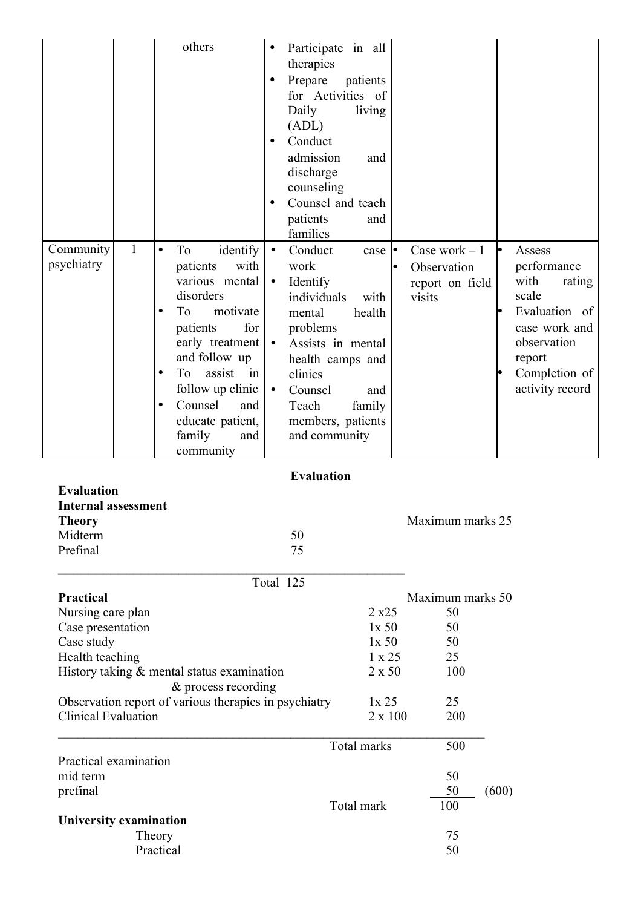| Community<br>psychiatry                                                                     | $\mathbf{1}$ | others<br>$\bullet$<br>identify<br>To<br>patients<br>various mental<br>disorders<br>T <sub>o</sub><br>motivate<br>$\bullet$<br>patients<br>early treatment<br>and follow up<br>assist<br>To<br>$\bullet$<br>follow up clinic<br>Counsel<br>$\bullet$<br>educate patient,<br>family<br>community | ٠<br>$\bullet$<br>with<br>$\bullet$<br>for<br>$\bullet$<br>in<br>$\bullet$<br>and<br>and | Participate in all<br>therapies<br>Prepare<br>patients<br>for Activities of<br>Daily<br>living<br>(ADL)<br>Conduct<br>admission<br>and<br>discharge<br>counseling<br>Counsel and teach<br>patients<br>and<br>families<br>Conduct<br>case $\bullet$<br>work<br>Identify<br>individuals<br>with<br>health<br>mental<br>problems<br>Assists in mental<br>health camps and<br>clinics<br>Counsel<br>and<br>Teach<br>family<br>members, patients<br>and community | Case work $-1$<br>Observation<br>report on field<br>visits |       | Assess<br>performance<br>with<br>rating<br>scale<br>Evaluation of<br>case work and<br>observation<br>report<br>Completion of<br>activity record |
|---------------------------------------------------------------------------------------------|--------------|-------------------------------------------------------------------------------------------------------------------------------------------------------------------------------------------------------------------------------------------------------------------------------------------------|------------------------------------------------------------------------------------------|--------------------------------------------------------------------------------------------------------------------------------------------------------------------------------------------------------------------------------------------------------------------------------------------------------------------------------------------------------------------------------------------------------------------------------------------------------------|------------------------------------------------------------|-------|-------------------------------------------------------------------------------------------------------------------------------------------------|
| <b>Evaluation</b>                                                                           |              |                                                                                                                                                                                                                                                                                                 |                                                                                          | <b>Evaluation</b>                                                                                                                                                                                                                                                                                                                                                                                                                                            |                                                            |       |                                                                                                                                                 |
| <b>Internal assessment</b><br><b>Theory</b><br>Midterm<br>Prefinal                          |              |                                                                                                                                                                                                                                                                                                 |                                                                                          | 50<br>75                                                                                                                                                                                                                                                                                                                                                                                                                                                     | Maximum marks 25                                           |       |                                                                                                                                                 |
|                                                                                             |              |                                                                                                                                                                                                                                                                                                 | Total 125                                                                                |                                                                                                                                                                                                                                                                                                                                                                                                                                                              |                                                            |       |                                                                                                                                                 |
| <b>Practical</b><br>Nursing care plan<br>Case presentation<br>Case study<br>Health teaching |              | History taking $&$ mental status examination<br>& process recording                                                                                                                                                                                                                             |                                                                                          | 2 x 25<br>1x 50<br>1x 50<br>$1 \times 25$<br>$2 \times 50$                                                                                                                                                                                                                                                                                                                                                                                                   | Maximum marks 50<br>50<br>50<br>50<br>25<br>100            |       |                                                                                                                                                 |
| <b>Clinical Evaluation</b>                                                                  |              | Observation report of various therapies in psychiatry                                                                                                                                                                                                                                           |                                                                                          | 1x25<br>$2 \times 100$                                                                                                                                                                                                                                                                                                                                                                                                                                       | 25<br>200                                                  |       |                                                                                                                                                 |
| Practical examination<br>mid term<br>prefinal                                               |              |                                                                                                                                                                                                                                                                                                 |                                                                                          | Total marks<br>Total mark                                                                                                                                                                                                                                                                                                                                                                                                                                    | 500<br>50<br>50<br>100                                     | (600) |                                                                                                                                                 |
| University examination                                                                      |              | Theory<br>Practical                                                                                                                                                                                                                                                                             |                                                                                          |                                                                                                                                                                                                                                                                                                                                                                                                                                                              | 75<br>50                                                   |       |                                                                                                                                                 |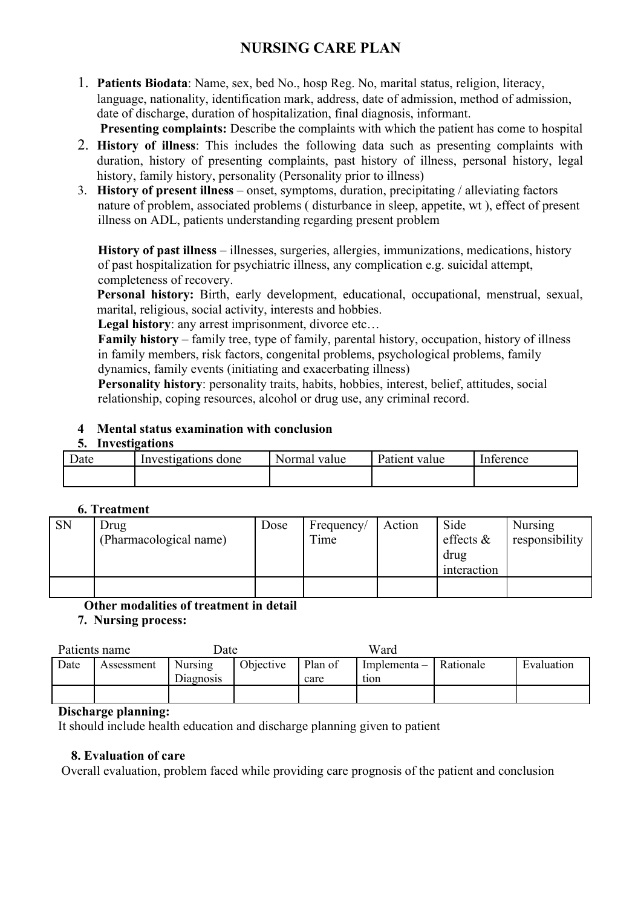# **NURSING CARE PLAN**

- 1. **Patients Biodata**: Name, sex, bed No., hosp Reg. No, marital status, religion, literacy, language, nationality, identification mark, address, date of admission, method of admission, date of discharge, duration of hospitalization, final diagnosis, informant. **Presenting complaints:** Describe the complaints with which the patient has come to hospital
- 2. **History of illness**: This includes the following data such as presenting complaints with duration, history of presenting complaints, past history of illness, personal history, legal history, family history, personality (Personality prior to illness)
- 3. **History of present illness** onset, symptoms, duration, precipitating / alleviating factors nature of problem, associated problems ( disturbance in sleep, appetite, wt ), effect of present illness on ADL, patients understanding regarding present problem

**History of past illness** – illnesses, surgeries, allergies, immunizations, medications, history of past hospitalization for psychiatric illness, any complication e.g. suicidal attempt, completeness of recovery.

**Personal history:** Birth, early development, educational, occupational, menstrual, sexual, marital, religious, social activity, interests and hobbies.

Legal history: any arrest imprisonment, divorce etc...

**Family history** – family tree, type of family, parental history, occupation, history of illness in family members, risk factors, congenital problems, psychological problems, family dynamics, family events (initiating and exacerbating illness)

**Personality history**: personality traits, habits, hobbies, interest, belief, attitudes, social relationship, coping resources, alcohol or drug use, any criminal record.

### **4 Mental status examination with conclusion**

#### **5. Investigations**

| Date | Investigations done | Normal<br>value | Patient<br>value | Interence |
|------|---------------------|-----------------|------------------|-----------|
|      |                     |                 |                  |           |

#### **6. Treatment**

| <b>SN</b> | Drug<br>(Pharmacological name) | Dose | Frequency/<br>Time | Action | Side<br>effects $\&$<br>drug<br>interaction | <b>Nursing</b><br>responsibility |
|-----------|--------------------------------|------|--------------------|--------|---------------------------------------------|----------------------------------|
|           |                                |      |                    |        |                                             |                                  |

#### **Other modalities of treatment in detail**

 **7. Nursing process:**

| Patients name |                                                        | Date |                 | Ward                               |            |  |
|---------------|--------------------------------------------------------|------|-----------------|------------------------------------|------------|--|
| Date          | Objective<br><b>Nursing</b><br>Assessment<br>Diagnosis |      | Plan of<br>care | Implementa $-$   Rationale<br>tion | Evaluation |  |
|               |                                                        |      |                 |                                    |            |  |

#### **Discharge planning:**

It should include health education and discharge planning given to patient

#### **8. Evaluation of care**

Overall evaluation, problem faced while providing care prognosis of the patient and conclusion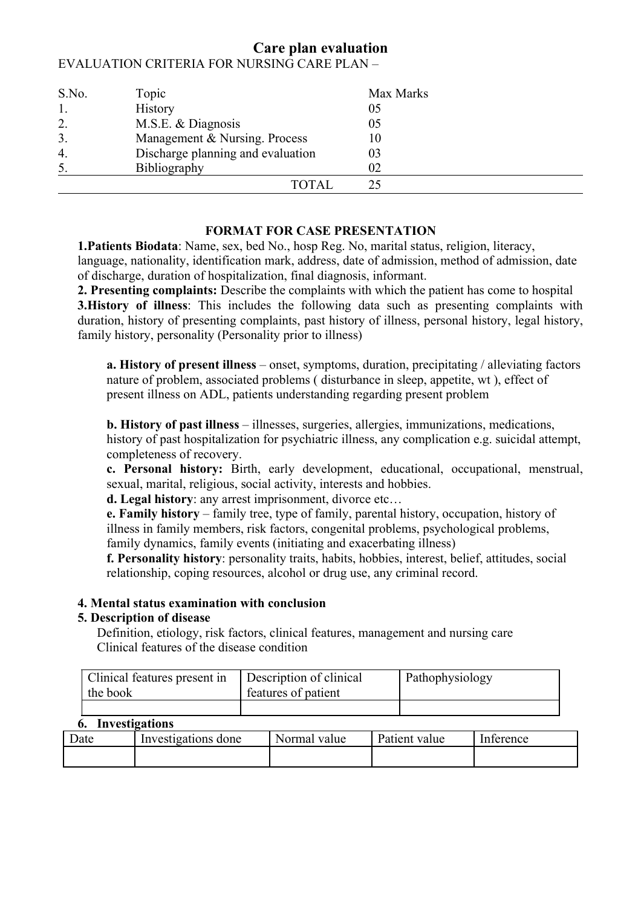| S.No.            | Topic                             | Max Marks |  |
|------------------|-----------------------------------|-----------|--|
| 1.               | <b>History</b>                    | 05        |  |
| $\overline{2}$ . | M.S.E. & Diagnosis                | 05        |  |
| 3.               | Management & Nursing. Process     | 10        |  |
| $\overline{4}$ . | Discharge planning and evaluation | 03        |  |
| 5.               | Bibliography                      | 02        |  |
|                  | TOTAL                             |           |  |

# **Care plan evaluation** EVALUATION CRITERIA FOR NURSING CARE PLAN –

#### **FORMAT FOR CASE PRESENTATION**

**1.Patients Biodata**: Name, sex, bed No., hosp Reg. No, marital status, religion, literacy, language, nationality, identification mark, address, date of admission, method of admission, date of discharge, duration of hospitalization, final diagnosis, informant.

**2. Presenting complaints:** Describe the complaints with which the patient has come to hospital **3.History** of **illness**: This includes the following data such as presenting complaints with duration, history of presenting complaints, past history of illness, personal history, legal history, family history, personality (Personality prior to illness)

**a. History of present illness** – onset, symptoms, duration, precipitating / alleviating factors nature of problem, associated problems ( disturbance in sleep, appetite, wt ), effect of present illness on ADL, patients understanding regarding present problem

**b. History of past illness** – illnesses, surgeries, allergies, immunizations, medications, history of past hospitalization for psychiatric illness, any complication e.g. suicidal attempt, completeness of recovery.

**c. Personal history:** Birth, early development, educational, occupational, menstrual, sexual, marital, religious, social activity, interests and hobbies.

**d. Legal history**: any arrest imprisonment, divorce etc…

**e. Family history** – family tree, type of family, parental history, occupation, history of illness in family members, risk factors, congenital problems, psychological problems, family dynamics, family events (initiating and exacerbating illness)

**f. Personality history**: personality traits, habits, hobbies, interest, belief, attitudes, social relationship, coping resources, alcohol or drug use, any criminal record.

#### **4. Mental status examination with conclusion**

#### **5. Description of disease**

Definition, etiology, risk factors, clinical features, management and nursing care Clinical features of the disease condition

| Clinical features present in<br>the book | Description of clinical<br>features of patient | Pathophysiology |
|------------------------------------------|------------------------------------------------|-----------------|
|                                          |                                                |                 |

#### **6. Investigations**

| Date | Investigations done | Normal<br>value | Patient<br>value | Interence |
|------|---------------------|-----------------|------------------|-----------|
|      |                     |                 |                  |           |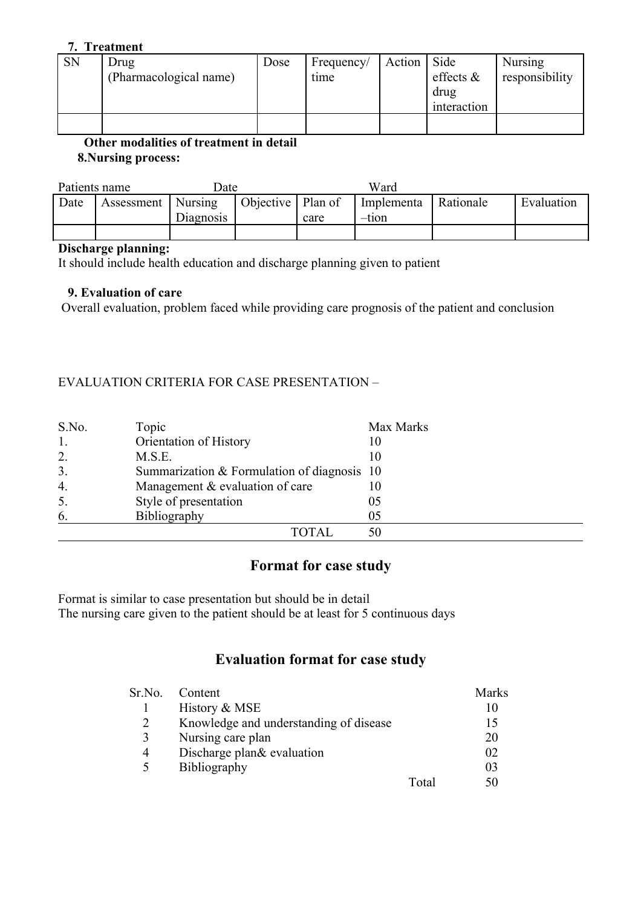#### **7. Treatment**

| <b>SN</b> | Drug                   | Dose | Frequency/ | Action | Side         | <b>Nursing</b> |
|-----------|------------------------|------|------------|--------|--------------|----------------|
|           | (Pharmacological name) |      | time       |        | effects $\&$ | responsibility |
|           |                        |      |            |        | drug         |                |
|           |                        |      |            |        | interaction  |                |
|           |                        |      |            |        |              |                |

 **Other modalities of treatment in detail 8.Nursing process:**

| Patients name |                      | Date      |                     |      | Ward                |           |            |
|---------------|----------------------|-----------|---------------------|------|---------------------|-----------|------------|
| Date          | Assessment   Nursing | Diagnosis | Objective   Plan of | care | Implementa<br>–tıon | Rationale | Evaluation |
|               |                      |           |                     |      |                     |           |            |

#### **Discharge planning:**

It should include health education and discharge planning given to patient

#### **9. Evaluation of care**

Overall evaluation, problem faced while providing care prognosis of the patient and conclusion

#### EVALUATION CRITERIA FOR CASE PRESENTATION –

| S.No. | Topic                                         | Max Marks |
|-------|-----------------------------------------------|-----------|
| 1.    | Orientation of History                        | 10        |
| 2.    | M.S.E.                                        |           |
| 3.    | Summarization $&$ Formulation of diagnosis 10 |           |
| 4.    | Management & evaluation of care               |           |
| 5.    | Style of presentation                         | 05        |
| 6.    | Bibliography                                  | 05        |
|       | TOTAL.                                        | 50        |

# **Format for case study**

Format is similar to case presentation but should be in detail The nursing care given to the patient should be at least for 5 continuous days

# **Evaluation format for case study**

| Sr.No. | Content                                |       | Marks |
|--------|----------------------------------------|-------|-------|
|        | History & MSE                          |       |       |
| 2      | Knowledge and understanding of disease |       | 15    |
| 3      | Nursing care plan                      |       | 20    |
| 4      | Discharge plan& evaluation             |       | 02    |
| 5      | Bibliography                           |       | 03    |
|        |                                        | Total |       |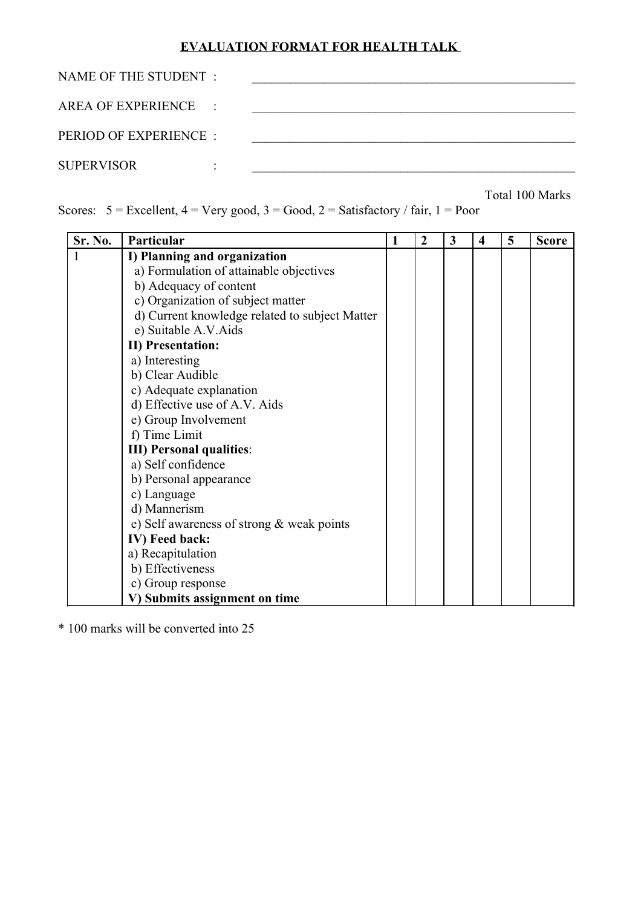# **EVALUATION FORMAT FOR HEALTH TALK**

| NAME OF THE STUDENT :  |  |
|------------------------|--|
| AREA OF EXPERIENCE :   |  |
| PERIOD OF EXPERIENCE : |  |
| <b>SUPERVISOR</b>      |  |

Total 100 Marks

Scores:  $5 =$  Excellent,  $4 =$  Very good,  $3 =$  Good,  $2 =$  Satisfactory / fair,  $1 =$  Poor

| Sr. No. | Particular                                     | 1 | $\boldsymbol{2}$ | $\mathbf{3}$ | 4 | 5 | <b>Score</b> |
|---------|------------------------------------------------|---|------------------|--------------|---|---|--------------|
| 1       | I) Planning and organization                   |   |                  |              |   |   |              |
|         | a) Formulation of attainable objectives        |   |                  |              |   |   |              |
|         | b) Adequacy of content                         |   |                  |              |   |   |              |
|         | c) Organization of subject matter              |   |                  |              |   |   |              |
|         | d) Current knowledge related to subject Matter |   |                  |              |   |   |              |
|         | e) Suitable A.V.Aids                           |   |                  |              |   |   |              |
|         | <b>II)</b> Presentation:                       |   |                  |              |   |   |              |
|         | a) Interesting                                 |   |                  |              |   |   |              |
|         | b) Clear Audible                               |   |                  |              |   |   |              |
|         | c) Adequate explanation                        |   |                  |              |   |   |              |
|         | d) Effective use of A.V. Aids                  |   |                  |              |   |   |              |
|         | e) Group Involvement                           |   |                  |              |   |   |              |
|         | f) Time Limit                                  |   |                  |              |   |   |              |
|         | <b>III)</b> Personal qualities:                |   |                  |              |   |   |              |
|         | a) Self confidence                             |   |                  |              |   |   |              |
|         | b) Personal appearance                         |   |                  |              |   |   |              |
|         | c) Language                                    |   |                  |              |   |   |              |
|         | d) Mannerism                                   |   |                  |              |   |   |              |
|         | e) Self awareness of strong & weak points      |   |                  |              |   |   |              |
|         | IV) Feed back:                                 |   |                  |              |   |   |              |
|         | a) Recapitulation                              |   |                  |              |   |   |              |
|         | b) Effectiveness                               |   |                  |              |   |   |              |
|         | c) Group response                              |   |                  |              |   |   |              |
|         | V) Submits assignment on time                  |   |                  |              |   |   |              |

\* 100 marks will be converted into 25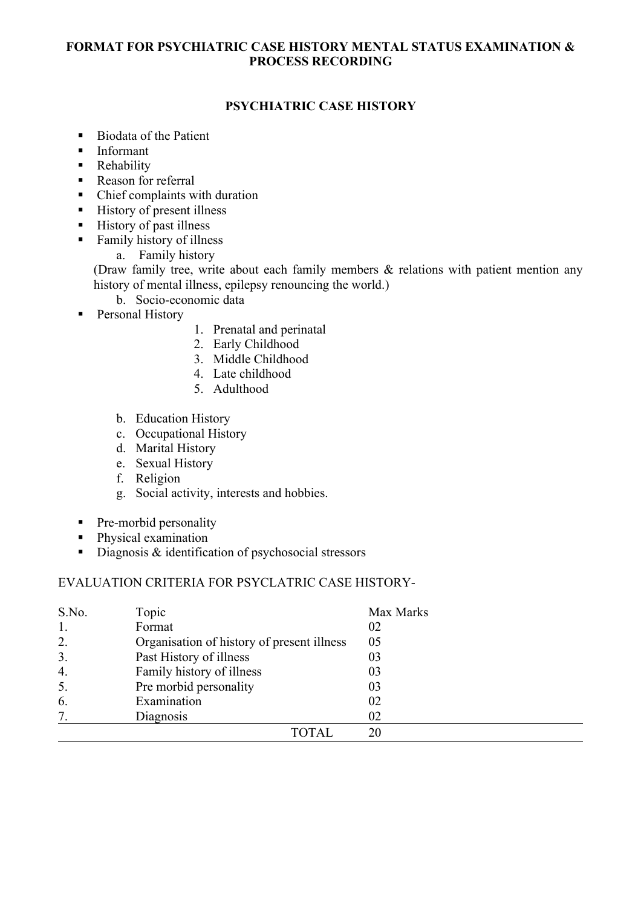#### **FORMAT FOR PSYCHIATRIC CASE HISTORY MENTAL STATUS EXAMINATION & PROCESS RECORDING**

## **PSYCHIATRIC CASE HISTORY**

- Biodata of the Patient
- Informant
- **Rehability**
- **Reason for referral**
- Chief complaints with duration
- $\blacksquare$  History of present illness
- **History of past illness**
- Family history of illness
	- a. Family history

(Draw family tree, write about each family members & relations with patient mention any history of mental illness, epilepsy renouncing the world.)

- b. Socio-economic data
- **Personal History**
- 1. Prenatal and perinatal
- 2. Early Childhood
- 3. Middle Childhood
- 4. Late childhood
- 5. Adulthood
- b. Education History
- c. Occupational History
- d. Marital History
- e. Sexual History
- f. Religion
- g. Social activity, interests and hobbies.
- Pre-morbid personality
- Physical examination
- Diagnosis & identification of psychosocial stressors

#### EVALUATION CRITERIA FOR PSYCLATRIC CASE HISTORY-

| S.No.            | Topic                                      | Max Marks |
|------------------|--------------------------------------------|-----------|
| 1.               | Format                                     | 02        |
| 2.               | Organisation of history of present illness | 05        |
| 3.               | Past History of illness                    | 03        |
| $\overline{4}$ . | Family history of illness                  | 03        |
| 5.               | Pre morbid personality                     | 03        |
| 6.               | Examination                                | 02        |
| 7                | Diagnosis                                  | 02        |
|                  | TOTAL                                      | 20        |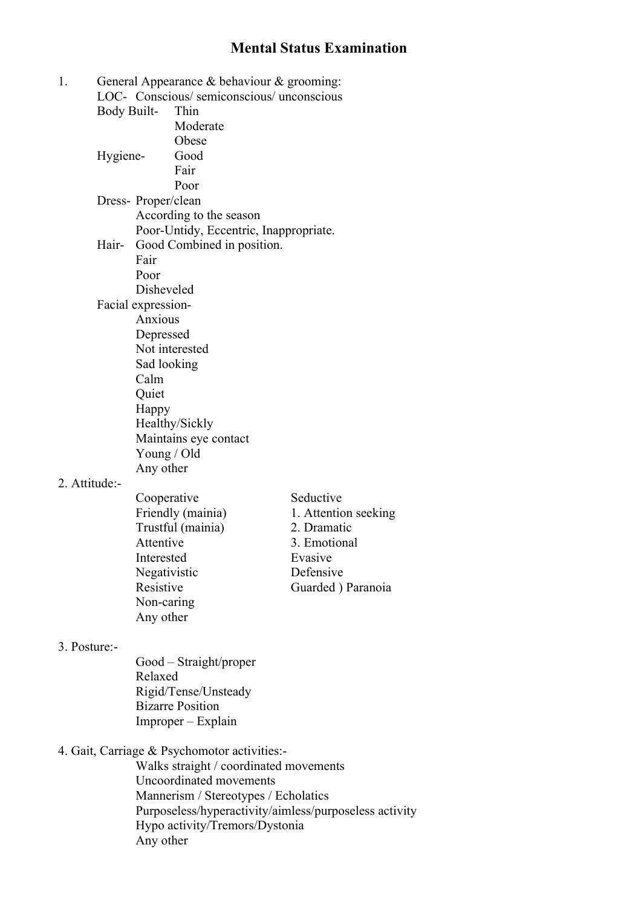# **Mental Status Examination**

| 1. |                     |              | General Appearance $\&$ behaviour $\&$ grooming: |                      |
|----|---------------------|--------------|--------------------------------------------------|----------------------|
|    |                     |              | LOC- Conscious/semiconscious/unconscious         |                      |
|    | <b>Body Built-</b>  |              | Thin                                             |                      |
|    |                     |              | Moderate                                         |                      |
|    |                     |              | Obese                                            |                      |
|    | Hygiene-            |              | Good                                             |                      |
|    |                     |              | Fair                                             |                      |
|    |                     |              | Poor                                             |                      |
|    | Dress- Proper/clean |              |                                                  |                      |
|    |                     |              | According to the season                          |                      |
|    |                     |              | Poor-Untidy, Eccentric, Inappropriate.           |                      |
|    | Hair-               |              | Good Combined in position.                       |                      |
|    |                     | Fair         |                                                  |                      |
|    |                     | Poor         |                                                  |                      |
|    |                     | Disheveled   |                                                  |                      |
|    | Facial expression-  |              |                                                  |                      |
|    |                     | Anxious      |                                                  |                      |
|    |                     | Depressed    |                                                  |                      |
|    |                     |              | Not interested                                   |                      |
|    |                     | Sad looking  |                                                  |                      |
|    |                     | Calm         |                                                  |                      |
|    |                     | Quiet        |                                                  |                      |
|    |                     | Happy        |                                                  |                      |
|    |                     |              | Healthy/Sickly                                   |                      |
|    |                     |              | Maintains eye contact                            |                      |
|    |                     | Young / Old  |                                                  |                      |
|    |                     | Any other    |                                                  |                      |
|    | 2. Attitude:-       |              |                                                  |                      |
|    |                     | Cooperative  |                                                  | Seductive            |
|    |                     |              | Friendly (mainia)                                | 1. Attention seeking |
|    |                     |              | Trustful (mainia)                                | 2. Dramatic          |
|    |                     | Attentive    |                                                  | 3. Emotional         |
|    |                     | Interested   |                                                  | Evasive              |
|    |                     | Negativistic |                                                  | Defensive            |

- 3. Posture:-
- Good Straight/proper Relaxed Rigid/Tense/Unsteady Bizarre Position Improper – Explain
- 4. Gait, Carriage & Psychomotor activities:-

Non-caring Any other

Walks straight / coordinated movements Uncoordinated movements Mannerism / Stereotypes / Echolatics Purposeless/hyperactivity/aimless/purposeless activity Hypo activity/Tremors/Dystonia Any other

Resistive Guarded ) Paranoia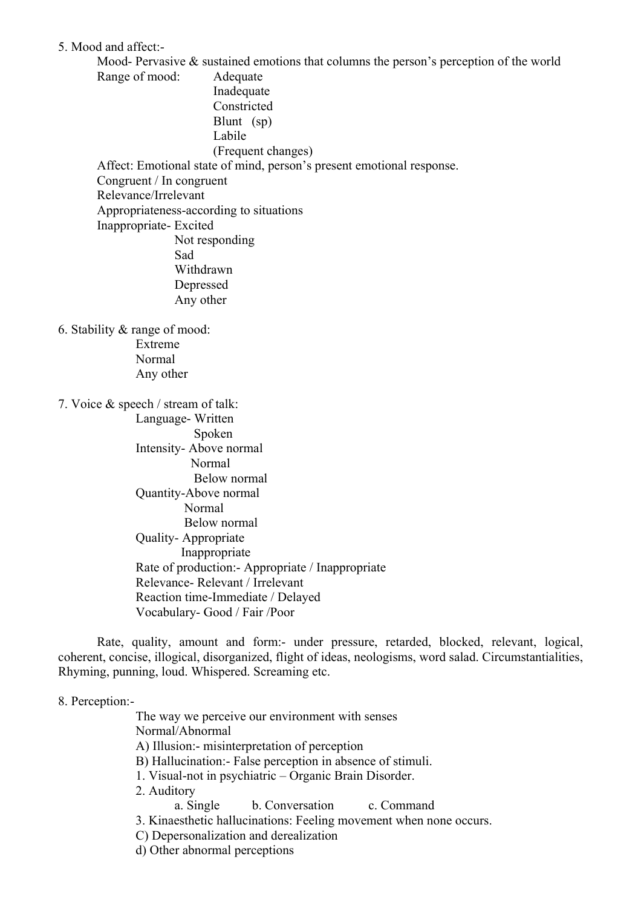5. Mood and affect:-

Mood- Pervasive & sustained emotions that columns the person's perception of the world Range of mood: Adequate Inadequate Constricted Blunt (sp) Labile (Frequent changes) Affect: Emotional state of mind, person's present emotional response. Congruent / In congruent Relevance/Irrelevant Appropriateness-according to situations Inappropriate- Excited Not responding Sad

Withdrawn Depressed Any other

6. Stability & range of mood: Extreme Normal Any other

7. Voice & speech / stream of talk:

Language- Written Spoken Intensity- Above normal Normal Below normal Quantity-Above normal Normal Below normal Quality- Appropriate Inappropriate Rate of production:- Appropriate / Inappropriate Relevance- Relevant / Irrelevant Reaction time-Immediate / Delayed Vocabulary- Good / Fair /Poor

Rate, quality, amount and form:- under pressure, retarded, blocked, relevant, logical, coherent, concise, illogical, disorganized, flight of ideas, neologisms, word salad. Circumstantialities, Rhyming, punning, loud. Whispered. Screaming etc.

8. Perception:-

The way we perceive our environment with senses Normal/Abnormal A) Illusion:- misinterpretation of perception B) Hallucination:- False perception in absence of stimuli. 1. Visual-not in psychiatric – Organic Brain Disorder. 2. Auditory a. Single b. Conversation c. Command 3. Kinaesthetic hallucinations: Feeling movement when none occurs. C) Depersonalization and derealization

d) Other abnormal perceptions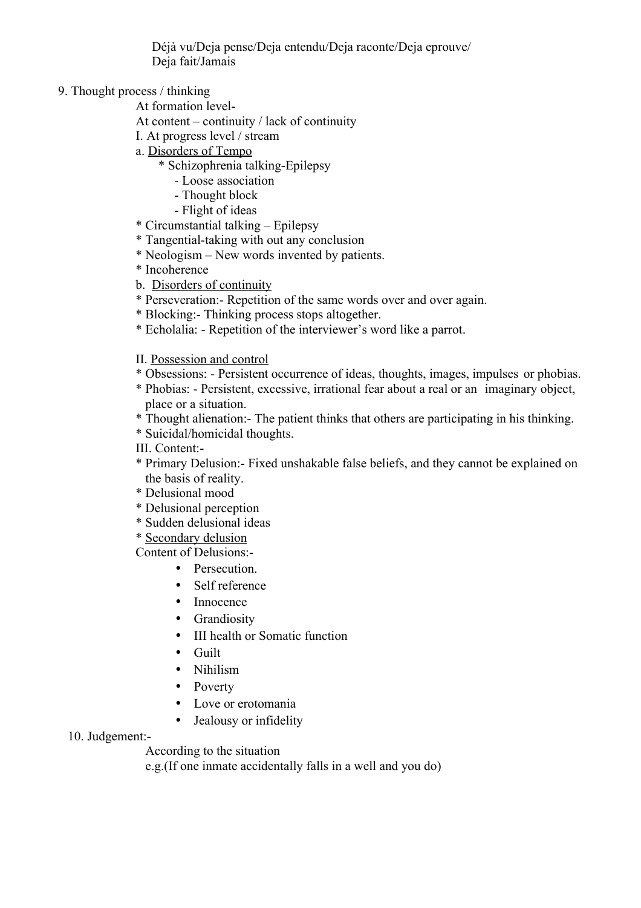Déjà vu/Deja pense/Deja entendu/Deja raconte/Deja eprouve/ Deja fait/Jamais

#### 9. Thought process / thinking

At formation level-

At content – continuity / lack of continuity

- I. At progress level / stream
- a. Disorders of Tempo
	- \* Schizophrenia talking-Epilepsy
		- Loose association
		- Thought block
		- Flight of ideas
- \* Circumstantial talking Epilepsy
- \* Tangential-taking with out any conclusion
- \* Neologism New words invented by patients.
- \* Incoherence
- b. Disorders of continuity
- \* Perseveration:- Repetition of the same words over and over again.
- \* Blocking:- Thinking process stops altogether.
- \* Echolalia: Repetition of the interviewer's word like a parrot.

#### II. Possession and control

- \* Obsessions: Persistent occurrence of ideas, thoughts, images, impulses or phobias.
- \* Phobias: Persistent, excessive, irrational fear about a real or an imaginary object, place or a situation.
- \* Thought alienation:- The patient thinks that others are participating in his thinking.
- \* Suicidal/homicidal thoughts.

III. Content:-

- \* Primary Delusion:- Fixed unshakable false beliefs, and they cannot be explained on the basis of reality.
- \* Delusional mood
- \* Delusional perception
- \* Sudden delusional ideas
- \* Secondary delusion

Content of Delusions:-

- Persecution
- Self reference
- Innocence
- Grandiosity
- III health or Somatic function
- Guilt
- Nihilism
- Poverty
- Love or erotomania
- Jealousy or infidelity

#### 10. Judgement:-

According to the situation

e.g.(If one inmate accidentally falls in a well and you do)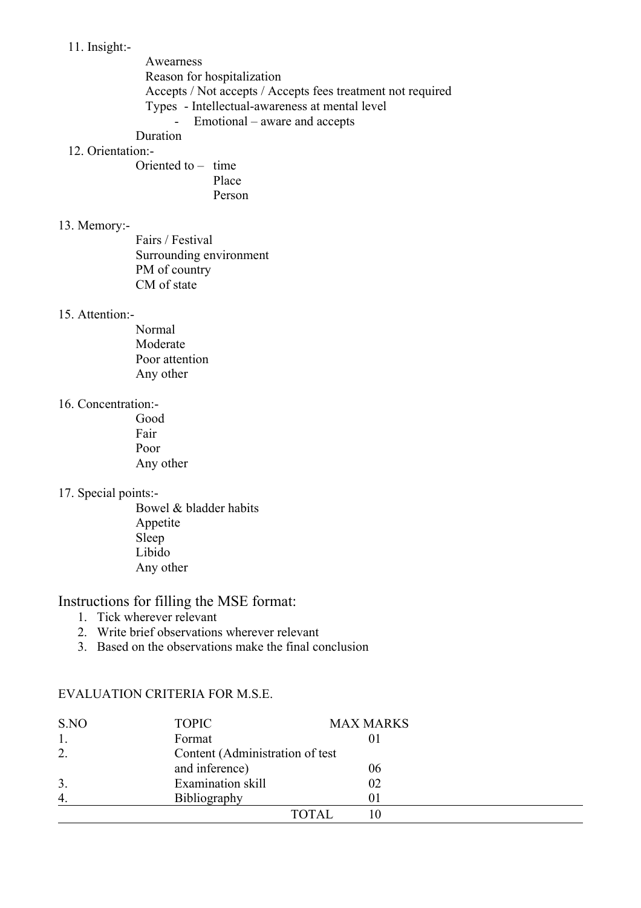11. Insight:-

Awearness Reason for hospitalization Accepts / Not accepts / Accepts fees treatment not required Types - Intellectual-awareness at mental level - Emotional – aware and accepts Duration

# 12. Orientation:-

Oriented to – time Place Person

#### 13. Memory:-

Fairs / Festival Surrounding environment PM of country CM of state

#### 15. Attention:-

Normal Moderate Poor attention Any other

#### 16. Concentration:-

Good Fair Poor Any other

#### 17. Special points:-

Bowel & bladder habits Appetite Sleep Libido Any other

# Instructions for filling the MSE format:

- 1. Tick wherever relevant
- 2. Write brief observations wherever relevant
- 3. Based on the observations make the final conclusion

#### EVALUATION CRITERIA FOR M.S.E.

| S.NO           | <b>TOPIC</b>                     | <b>MAX MARKS</b> |  |
|----------------|----------------------------------|------------------|--|
| 1.             | Format                           |                  |  |
| 2.             | Content (Administration of test) |                  |  |
|                | and inference)                   | 06               |  |
| 3.             | Examination skill                | 02               |  |
| $\overline{4}$ | Bibliography                     |                  |  |
|                |                                  | <b>TOTAL</b>     |  |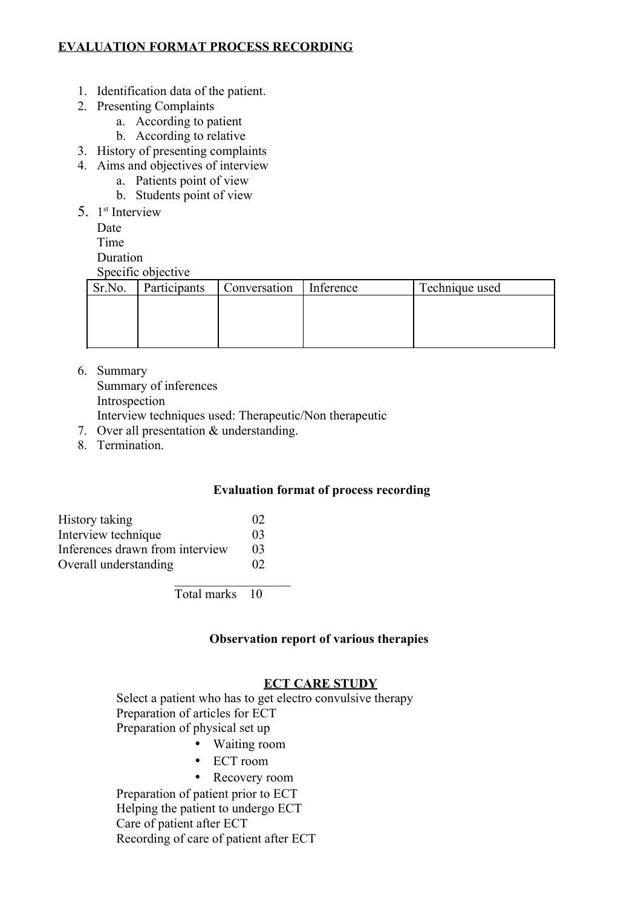## **EVALUATION FORMAT PROCESS RECORDING**

- 1. Identification data of the patient.
- 2. Presenting Complaints
	- a. According to patient
	- b. According to relative
- 3. History of presenting complaints
- 4. Aims and objectives of interview
	- a. Patients point of view
	- b. Students point of view
- 5. 1<sup>st</sup> Interview
	- Date
	- Time

**Duration** 

Specific objective

| Sr.No. | Participants | Conversation | Inference | Technique used |  |
|--------|--------------|--------------|-----------|----------------|--|
|        |              |              |           |                |  |
|        |              |              |           |                |  |
|        |              |              |           |                |  |
|        |              |              |           |                |  |

6. Summary

Summary of inferences Introspection

Interview techniques used: Therapeutic/Non therapeutic

- 7. Over all presentation & understanding.
- 8. Termination.

#### **Evaluation format of process recording**

| History taking                  | 02       |
|---------------------------------|----------|
| Interview technique             | 03       |
| Inferences drawn from interview | 03       |
| Overall understanding           | $\Omega$ |

Total marks 10

 $\mathcal{L}_\text{max}$ 

#### **Observation report of various therapies**

#### **ECT CARE STUDY**

Select a patient who has to get electro convulsive therapy Preparation of articles for ECT Preparation of physical set up

- Waiting room
- ECT room
- Recovery room

Preparation of patient prior to ECT Helping the patient to undergo ECT Care of patient after ECT Recording of care of patient after ECT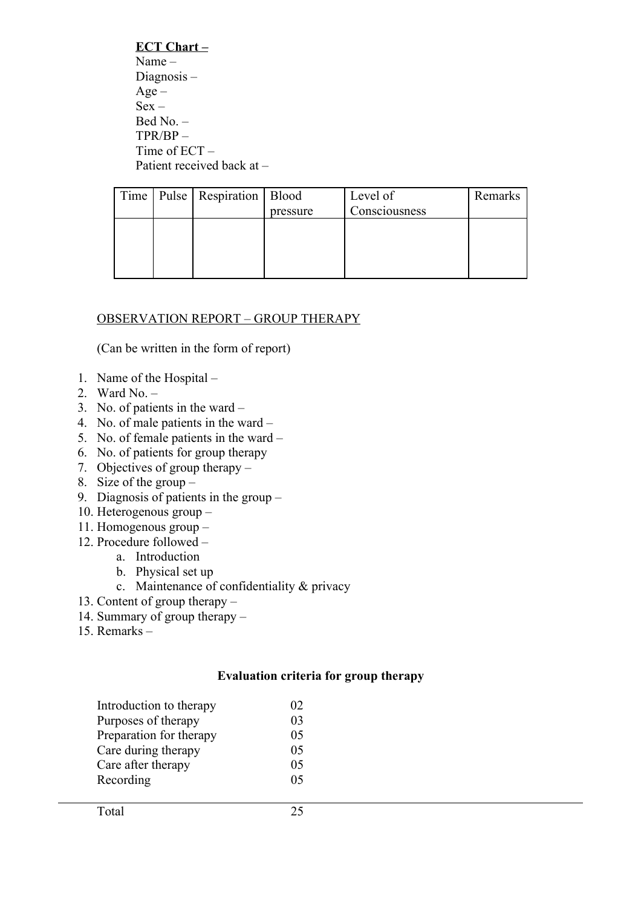**ECT Chart –** Name – Diagnosis – Age –  $Sex -$ Bed No. – TPR/BP – Time of ECT – Patient received back at –

|  | Time   Pulse   Respiration   Blood |          | Level of      | Remarks |
|--|------------------------------------|----------|---------------|---------|
|  |                                    | pressure | Consciousness |         |
|  |                                    |          |               |         |
|  |                                    |          |               |         |
|  |                                    |          |               |         |
|  |                                    |          |               |         |

### OBSERVATION REPORT – GROUP THERAPY

(Can be written in the form of report)

- 1. Name of the Hospital –
- 2. Ward No.  $-$
- 3. No. of patients in the ward –
- 4. No. of male patients in the ward –
- 5. No. of female patients in the ward –
- 6. No. of patients for group therapy
- 7. Objectives of group therapy –
- 8. Size of the group –
- 9. Diagnosis of patients in the group –
- 10. Heterogenous group –
- 11. Homogenous group –
- 12. Procedure followed
	- a. Introduction
	- b. Physical set up
	- c. Maintenance of confidentiality & privacy
- 13. Content of group therapy –
- 14. Summary of group therapy –
- 15. Remarks –

#### **Evaluation criteria for group therapy**

| Introduction to therapy | 02 <sub>1</sub> |
|-------------------------|-----------------|
| Purposes of therapy     | 03              |
| Preparation for therapy | 05              |
| Care during therapy     | 05              |
| Care after therapy      | 05              |
| Recording               | 05              |
|                         |                 |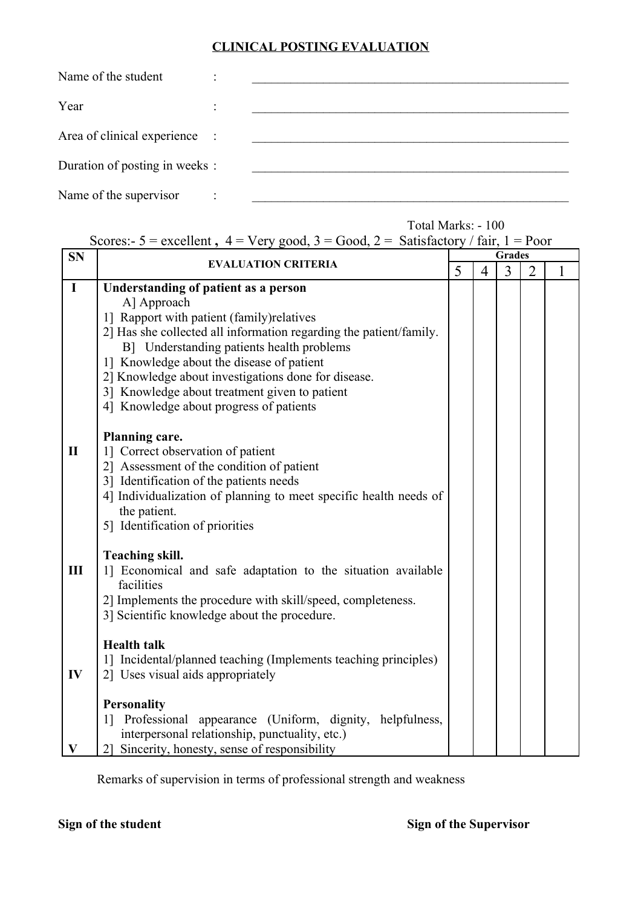# **CLINICAL POSTING EVALUATION**

| Name of the student            |  |
|--------------------------------|--|
| Year                           |  |
| Area of clinical experience :  |  |
| Duration of posting in weeks : |  |
| Name of the supervisor         |  |

|              | Scores:- $5$ = excellent, $4$ = Very good, $3$ = Good, $2$ = Satisfactory / fair, 1 = Poor |               |                |                |   |   |  |
|--------------|--------------------------------------------------------------------------------------------|---------------|----------------|----------------|---|---|--|
| <b>SN</b>    |                                                                                            | <b>Grades</b> |                |                |   |   |  |
|              | <b>EVALUATION CRITERIA</b><br>5                                                            |               | $\overline{4}$ | $\overline{3}$ | 2 | 1 |  |
| $\mathbf I$  | Understanding of patient as a person                                                       |               |                |                |   |   |  |
|              | A] Approach                                                                                |               |                |                |   |   |  |
|              | 1] Rapport with patient (family) relatives                                                 |               |                |                |   |   |  |
|              | 2] Has she collected all information regarding the patient/family.                         |               |                |                |   |   |  |
|              | B] Understanding patients health problems                                                  |               |                |                |   |   |  |
|              | 1] Knowledge about the disease of patient                                                  |               |                |                |   |   |  |
|              | 2] Knowledge about investigations done for disease.                                        |               |                |                |   |   |  |
|              | 3] Knowledge about treatment given to patient                                              |               |                |                |   |   |  |
|              | 4] Knowledge about progress of patients                                                    |               |                |                |   |   |  |
|              |                                                                                            |               |                |                |   |   |  |
|              | <b>Planning care.</b>                                                                      |               |                |                |   |   |  |
| $\mathbf{I}$ | 1] Correct observation of patient                                                          |               |                |                |   |   |  |
|              | 2] Assessment of the condition of patient                                                  |               |                |                |   |   |  |
|              | 3] Identification of the patients needs                                                    |               |                |                |   |   |  |
|              | 4] Individualization of planning to meet specific health needs of                          |               |                |                |   |   |  |
|              | the patient.                                                                               |               |                |                |   |   |  |
|              | 5] Identification of priorities                                                            |               |                |                |   |   |  |
|              |                                                                                            |               |                |                |   |   |  |
|              | <b>Teaching skill.</b>                                                                     |               |                |                |   |   |  |
| III          | 1] Economical and safe adaptation to the situation available                               |               |                |                |   |   |  |
|              | facilities                                                                                 |               |                |                |   |   |  |
|              | 2] Implements the procedure with skill/speed, completeness.                                |               |                |                |   |   |  |
|              | 3] Scientific knowledge about the procedure.                                               |               |                |                |   |   |  |
|              |                                                                                            |               |                |                |   |   |  |
|              | <b>Health talk</b>                                                                         |               |                |                |   |   |  |
|              | 1] Incidental/planned teaching (Implements teaching principles)                            |               |                |                |   |   |  |
| IV           | 2] Uses visual aids appropriately                                                          |               |                |                |   |   |  |
|              |                                                                                            |               |                |                |   |   |  |
|              | <b>Personality</b>                                                                         |               |                |                |   |   |  |
|              | Professional appearance (Uniform, dignity, helpfulness,<br>11                              |               |                |                |   |   |  |
|              | interpersonal relationship, punctuality, etc.)                                             |               |                |                |   |   |  |
| V            | Sincerity, honesty, sense of responsibility<br>21                                          |               |                |                |   |   |  |

Remarks of supervision in terms of professional strength and weakness

Total Marks: - 100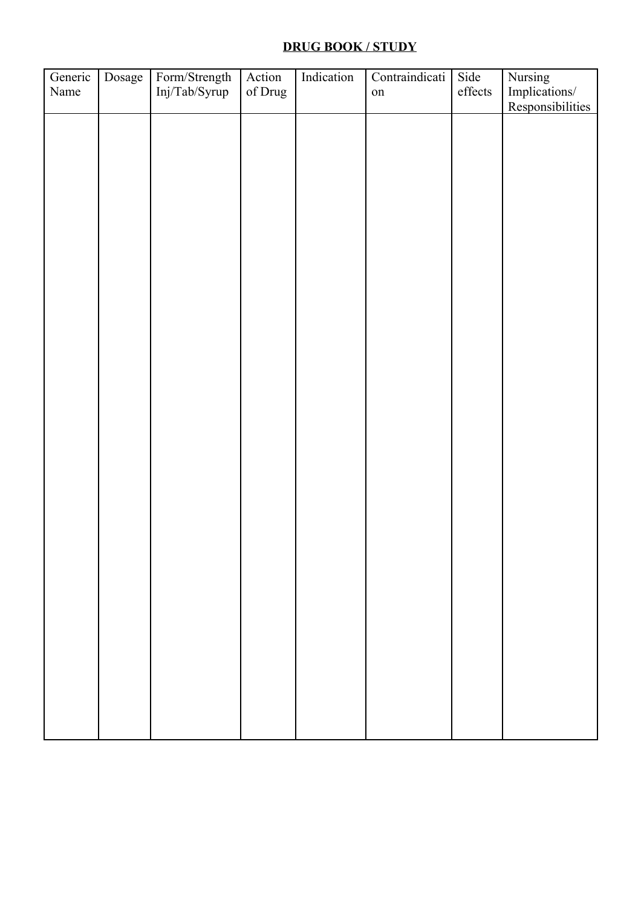# **DRUG BOOK / STUDY**

| Generic<br>Name | Dosage | Form/Strength<br>Inj/Tab/Syrup | Action<br>of Drug | Indication | Contraindicati<br>${\rm on}$ | Side<br>effects | Nursing<br>Implications/<br>Responsibilities |
|-----------------|--------|--------------------------------|-------------------|------------|------------------------------|-----------------|----------------------------------------------|
|                 |        |                                |                   |            |                              |                 |                                              |
|                 |        |                                |                   |            |                              |                 |                                              |
|                 |        |                                |                   |            |                              |                 |                                              |
|                 |        |                                |                   |            |                              |                 |                                              |
|                 |        |                                |                   |            |                              |                 |                                              |
|                 |        |                                |                   |            |                              |                 |                                              |
|                 |        |                                |                   |            |                              |                 |                                              |
|                 |        |                                |                   |            |                              |                 |                                              |
|                 |        |                                |                   |            |                              |                 |                                              |
|                 |        |                                |                   |            |                              |                 |                                              |
|                 |        |                                |                   |            |                              |                 |                                              |
|                 |        |                                |                   |            |                              |                 |                                              |
|                 |        |                                |                   |            |                              |                 |                                              |
|                 |        |                                |                   |            |                              |                 |                                              |
|                 |        |                                |                   |            |                              |                 |                                              |
|                 |        |                                |                   |            |                              |                 |                                              |
|                 |        |                                |                   |            |                              |                 |                                              |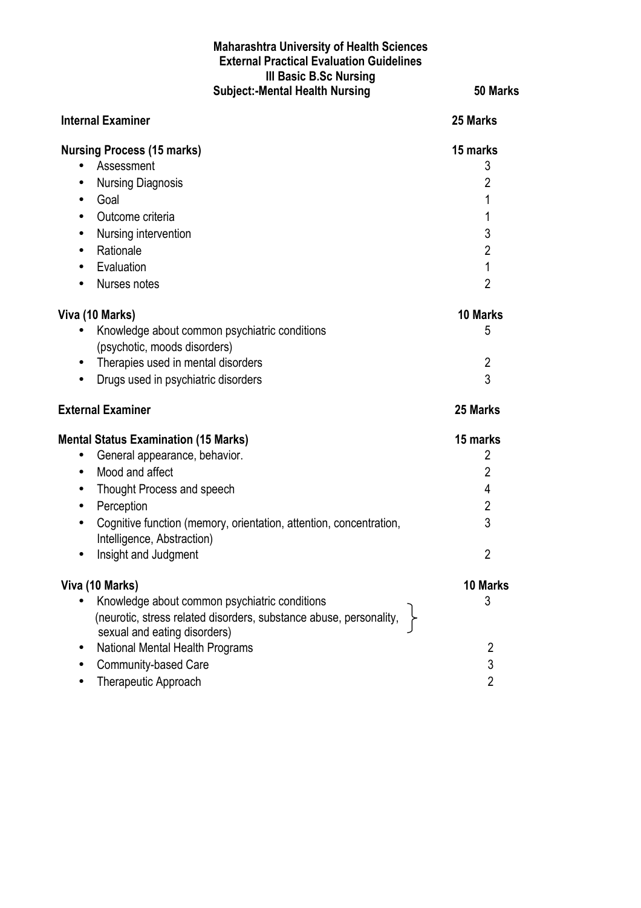#### **Maharashtra University of Health Sciences External Practical Evaluation Guidelines III Basic B.Sc Nursing Subject:-Mental Health Nursing 50 Marks**

| <b>Internal Examiner</b>                                                                                                                                                                                                                                                                                                    | 25 Marks                                                                              |
|-----------------------------------------------------------------------------------------------------------------------------------------------------------------------------------------------------------------------------------------------------------------------------------------------------------------------------|---------------------------------------------------------------------------------------|
| <b>Nursing Process (15 marks)</b><br>Assessment<br><b>Nursing Diagnosis</b><br>$\bullet$<br>Goal<br>$\bullet$<br>Outcome criteria<br>$\bullet$<br>Nursing intervention<br>$\bullet$<br>Rationale<br>$\bullet$<br>Evaluation<br>$\bullet$<br>Nurses notes                                                                    | 15 marks<br>3<br>2<br>1<br>1<br>3<br>$\overline{2}$<br>$\mathbf{1}$<br>$\overline{2}$ |
| Viva (10 Marks)<br>Knowledge about common psychiatric conditions<br>(psychotic, moods disorders)<br>Therapies used in mental disorders<br>$\bullet$<br>Drugs used in psychiatric disorders<br>$\bullet$                                                                                                                     | 10 Marks<br>5<br>$\overline{2}$<br>3                                                  |
| <b>External Examiner</b>                                                                                                                                                                                                                                                                                                    | 25 Marks                                                                              |
| <b>Mental Status Examination (15 Marks)</b><br>General appearance, behavior.<br>$\bullet$<br>Mood and affect<br>$\bullet$<br>Thought Process and speech<br>$\bullet$<br>Perception<br>$\bullet$<br>Cognitive function (memory, orientation, attention, concentration,<br>Intelligence, Abstraction)<br>Insight and Judgment | 15 marks<br>2<br>$\overline{2}$<br>4<br>$\overline{2}$<br>3<br>$\overline{2}$         |
| Viva (10 Marks)<br>Knowledge about common psychiatric conditions<br>(neurotic, stress related disorders, substance abuse, personality,<br>sexual and eating disorders)                                                                                                                                                      | 10 Marks<br>3                                                                         |
| National Mental Health Programs<br>Community-based Care<br>Therapeutic Approach                                                                                                                                                                                                                                             | $\overline{2}$<br>3<br>$\overline{2}$                                                 |